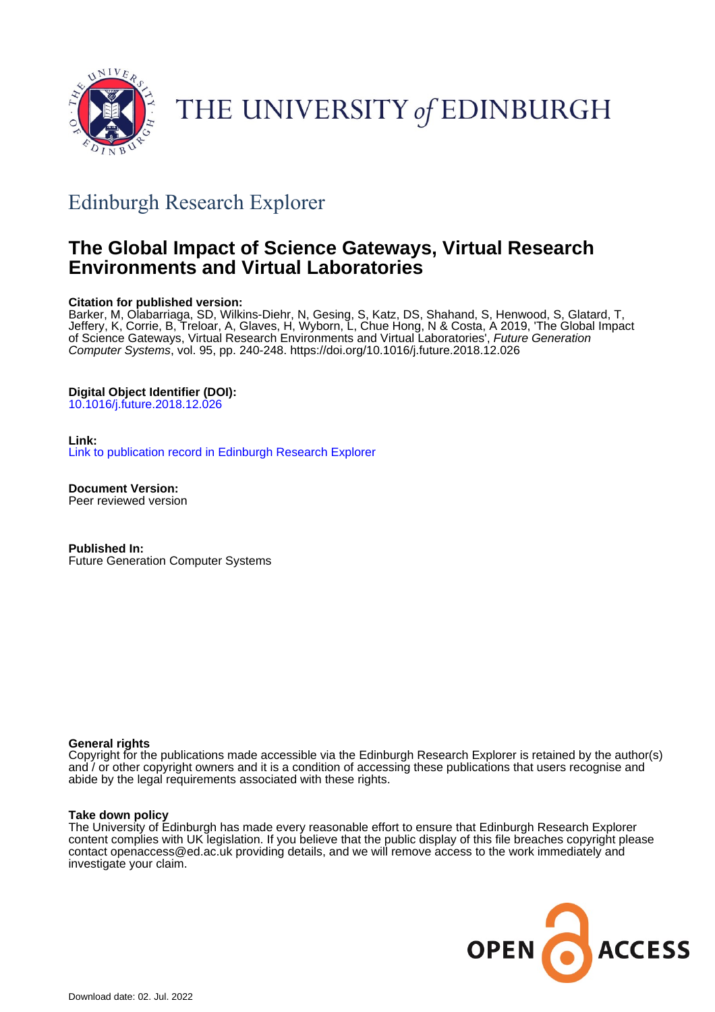

THE UNIVERSITY of EDINBURGH

# Edinburgh Research Explorer

## **The Global Impact of Science Gateways, Virtual Research Environments and Virtual Laboratories**

## **Citation for published version:**

Barker, M, Olabarriaga, SD, Wilkins-Diehr, N, Gesing, S, Katz, DS, Shahand, S, Henwood, S, Glatard, T, Jeffery, K, Corrie, B, Treloar, A, Glaves, H, Wyborn, L, Chue Hong, N & Costa, A 2019, 'The Global Impact of Science Gateways, Virtual Research Environments and Virtual Laboratories', Future Generation Computer Systems, vol. 95, pp. 240-248. <https://doi.org/10.1016/j.future.2018.12.026>

## **Digital Object Identifier (DOI):**

[10.1016/j.future.2018.12.026](https://doi.org/10.1016/j.future.2018.12.026)

## **Link:**

[Link to publication record in Edinburgh Research Explorer](https://www.research.ed.ac.uk/en/publications/11961d5c-0da6-4372-9e17-6fb9b27a91a5)

**Document Version:** Peer reviewed version

**Published In:** Future Generation Computer Systems

## **General rights**

Copyright for the publications made accessible via the Edinburgh Research Explorer is retained by the author(s) and / or other copyright owners and it is a condition of accessing these publications that users recognise and abide by the legal requirements associated with these rights.

## **Take down policy**

The University of Edinburgh has made every reasonable effort to ensure that Edinburgh Research Explorer content complies with UK legislation. If you believe that the public display of this file breaches copyright please contact openaccess@ed.ac.uk providing details, and we will remove access to the work immediately and investigate your claim.

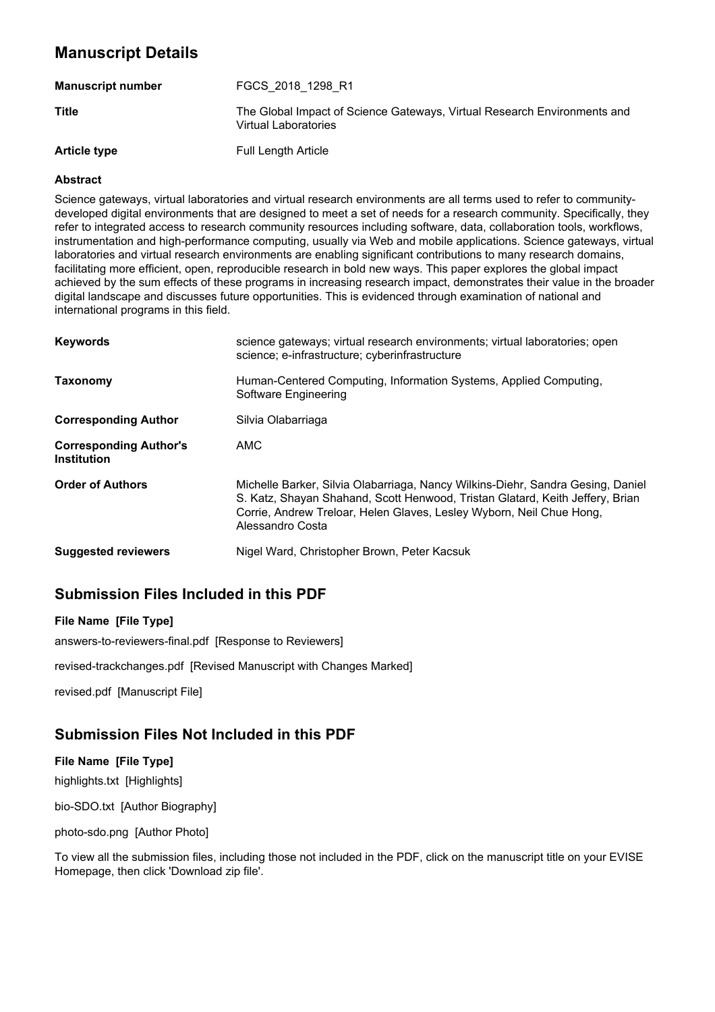## **Manuscript Details**

| <b>Manuscript number</b> | FGCS 2018 1298 R1                                                                                |
|--------------------------|--------------------------------------------------------------------------------------------------|
| <b>Title</b>             | The Global Impact of Science Gateways, Virtual Research Environments and<br>Virtual Laboratories |
| <b>Article type</b>      | <b>Full Length Article</b>                                                                       |

## **Abstract**

Science gateways, virtual laboratories and virtual research environments are all terms used to refer to communitydeveloped digital environments that are designed to meet a set of needs for a research community. Specifically, they refer to integrated access to research community resources including software, data, collaboration tools, workflows, instrumentation and high-performance computing, usually via Web and mobile applications. Science gateways, virtual laboratories and virtual research environments are enabling significant contributions to many research domains, facilitating more efficient, open, reproducible research in bold new ways. This paper explores the global impact achieved by the sum effects of these programs in increasing research impact, demonstrates their value in the broader digital landscape and discusses future opportunities. This is evidenced through examination of national and international programs in this field.

| <b>Keywords</b>                                     | science gateways; virtual research environments; virtual laboratories; open<br>science; e-infrastructure; cyberinfrastructure                                                                                                                                |
|-----------------------------------------------------|--------------------------------------------------------------------------------------------------------------------------------------------------------------------------------------------------------------------------------------------------------------|
| Taxonomy                                            | Human-Centered Computing, Information Systems, Applied Computing,<br>Software Engineering                                                                                                                                                                    |
| <b>Corresponding Author</b>                         | Silvia Olabarriaga                                                                                                                                                                                                                                           |
| <b>Corresponding Author's</b><br><b>Institution</b> | AMC                                                                                                                                                                                                                                                          |
| <b>Order of Authors</b>                             | Michelle Barker, Silvia Olabarriaga, Nancy Wilkins-Diehr, Sandra Gesing, Daniel<br>S. Katz, Shayan Shahand, Scott Henwood, Tristan Glatard, Keith Jeffery, Brian<br>Corrie, Andrew Treloar, Helen Glaves, Lesley Wyborn, Neil Chue Hong,<br>Alessandro Costa |
| <b>Suggested reviewers</b>                          | Nigel Ward, Christopher Brown, Peter Kacsuk                                                                                                                                                                                                                  |

## **Submission Files Included in this PDF**

## **File Name [File Type]**

answers-to-reviewers-final.pdf [Response to Reviewers]

revised-trackchanges.pdf [Revised Manuscript with Changes Marked]

revised.pdf [Manuscript File]

## **Submission Files Not Included in this PDF**

## **File Name [File Type]**

highlights.txt [Highlights]

bio-SDO.txt [Author Biography]

photo-sdo.png [Author Photo]

To view all the submission files, including those not included in the PDF, click on the manuscript title on your EVISE Homepage, then click 'Download zip file'.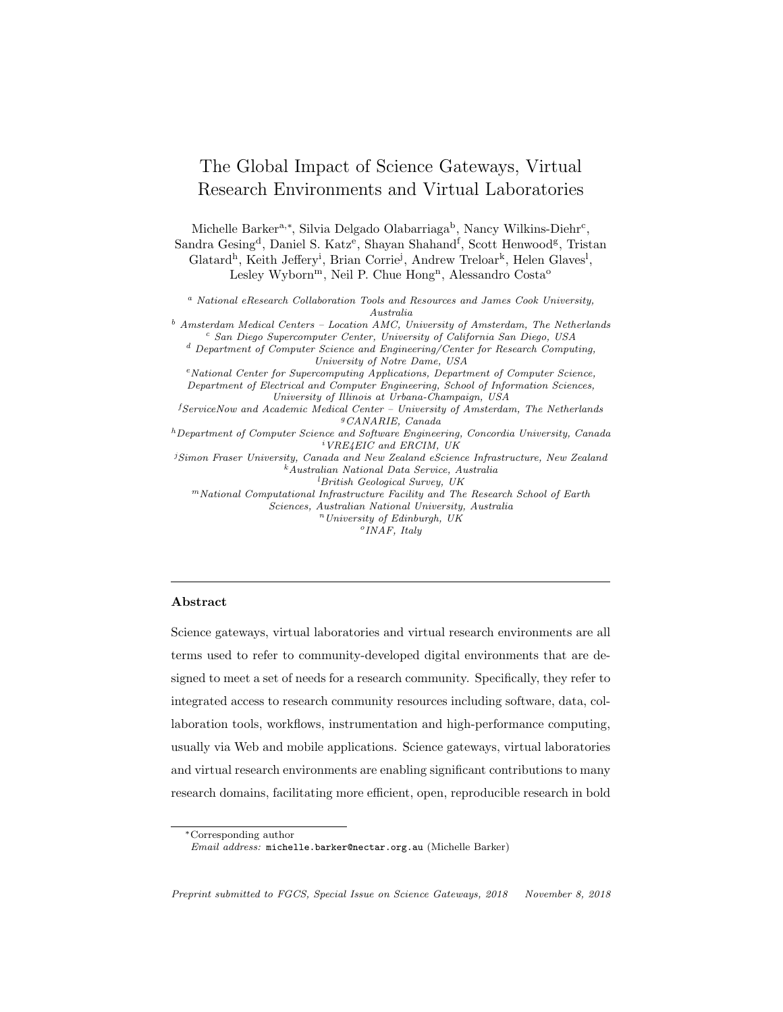## The Global Impact of Science Gateways, Virtual Research Environments and Virtual Laboratories

Michelle Barker<sup>a,\*</sup>, Silvia Delgado Olabarriaga<sup>b</sup>, Nancy Wilkins-Diehr<sup>c</sup>, Sandra Gesing<sup>d</sup>, Daniel S. Katz<sup>e</sup>, Shayan Shahand<sup>f</sup>, Scott Henwood<sup>g</sup>, Tristan Glatard<sup>h</sup>, Keith Jeffery<sup>i</sup>, Brian Corrie<sup>j</sup>, Andrew Treloar<sup>k</sup>, Helen Glaves<sup>1</sup>, Lesley Wyborn<sup>m</sup>, Neil P. Chue Hong<sup>n</sup>, Alessandro Costa<sup>o</sup>

*<sup>a</sup> National eResearch Collaboration Tools and Resources and James Cook University, Australia*

*<sup>b</sup> Amsterdam Medical Centers – Location AMC, University of Amsterdam, The Netherlands <sup>c</sup> San Diego Supercomputer Center, University of California San Diego, USA <sup>d</sup> Department of Computer Science and Engineering/Center for Research Computing, University of Notre Dame, USA <sup>e</sup>National Center for Supercomputing Applications, Department of Computer Science, Department of Electrical and Computer Engineering, School of Information Sciences, University of Illinois at Urbana-Champaign, USA f ServiceNow and Academic Medical Center – University of Amsterdam, The Netherlands <sup>g</sup>CANARIE, Canada*

*<sup>h</sup>Department of Computer Science and Software Engineering, Concordia University, Canada i VRE4EIC and ERCIM, UK*

*j Simon Fraser University, Canada and New Zealand eScience Infrastructure, New Zealand <sup>k</sup>Australian National Data Service, Australia l British Geological Survey, UK*

*<sup>m</sup>National Computational Infrastructure Facility and The Research School of Earth Sciences, Australian National University, Australia*

*<sup>n</sup>University of Edinburgh, UK*

*<sup>o</sup>INAF, Italy*

#### Abstract

Science gateways, virtual laboratories and virtual research environments are all terms used to refer to community-developed digital environments that are designed to meet a set of needs for a research community. Specifically, they refer to integrated access to research community resources including software, data, collaboration tools, workflows, instrumentation and high-performance computing, usually via Web and mobile applications. Science gateways, virtual laboratories and virtual research environments are enabling significant contributions to many research domains, facilitating more efficient, open, reproducible research in bold

<sup>⇤</sup>Corresponding author

*Email address:* michelle.barker@nectar.org.au (Michelle Barker)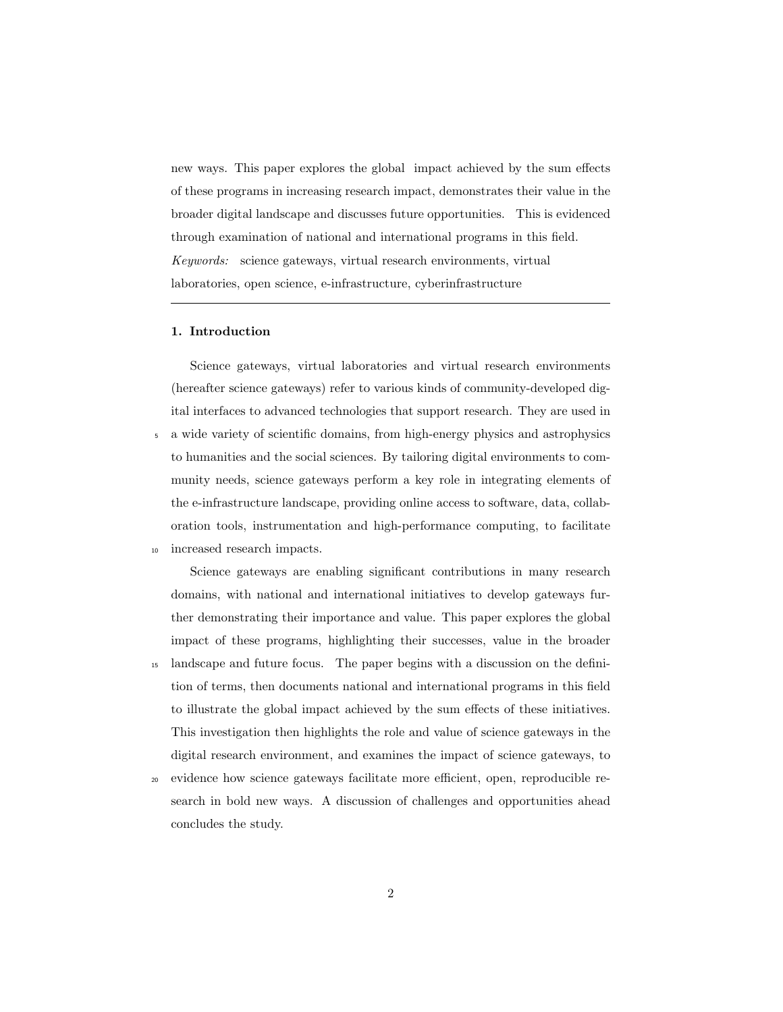new ways. This paper explores the global impact achieved by the sum effects of these programs in increasing research impact, demonstrates their value in the broader digital landscape and discusses future opportunities. This is evidenced through examination of national and international programs in this field. *Keywords:* science gateways, virtual research environments, virtual laboratories, open science, e-infrastructure, cyberinfrastructure

## 1. Introduction

Science gateways, virtual laboratories and virtual research environments (hereafter science gateways) refer to various kinds of community-developed digital interfaces to advanced technologies that support research. They are used in <sup>5</sup> a wide variety of scientific domains, from high-energy physics and astrophysics to humanities and the social sciences. By tailoring digital environments to community needs, science gateways perform a key role in integrating elements of the e-infrastructure landscape, providing online access to software, data, collaboration tools, instrumentation and high-performance computing, to facilitate <sup>10</sup> increased research impacts.

Science gateways are enabling significant contributions in many research domains, with national and international initiatives to develop gateways further demonstrating their importance and value. This paper explores the global impact of these programs, highlighting their successes, value in the broader

- <sup>15</sup> landscape and future focus. The paper begins with a discussion on the definition of terms, then documents national and international programs in this field to illustrate the global impact achieved by the sum effects of these initiatives. This investigation then highlights the role and value of science gateways in the digital research environment, and examines the impact of science gateways, to
- <sup>20</sup> evidence how science gateways facilitate more efficient, open, reproducible research in bold new ways. A discussion of challenges and opportunities ahead concludes the study.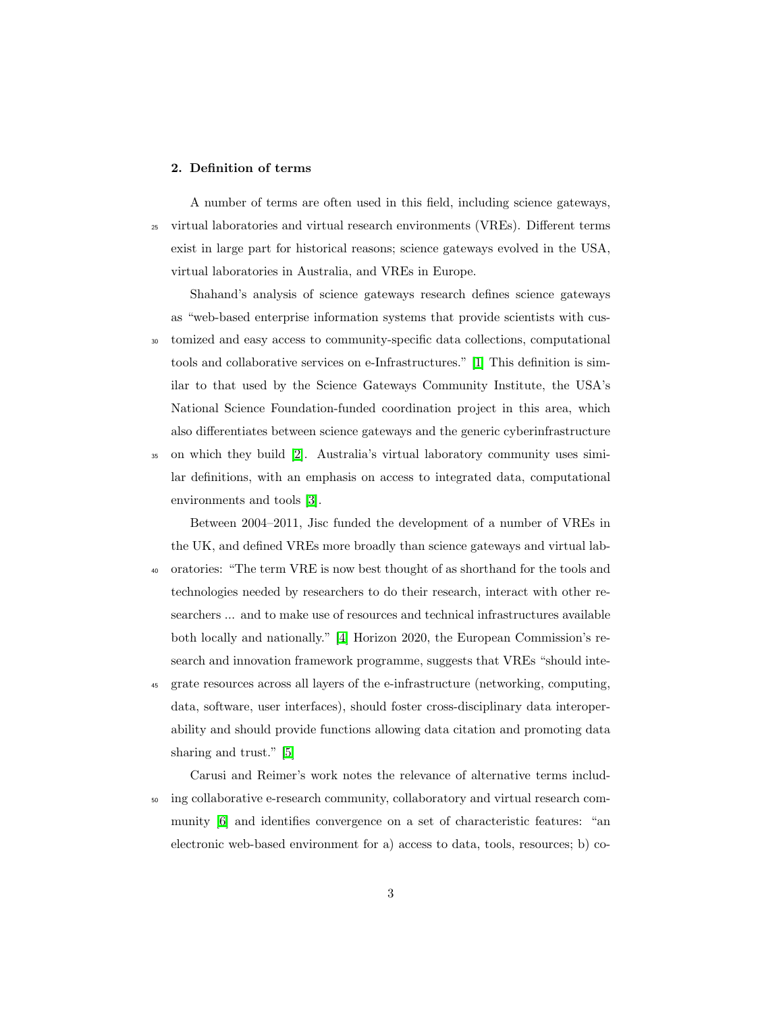### 2. Definition of terms

A number of terms are often used in this field, including science gateways,  $25$  virtual laboratories and virtual research environments (VREs). Different terms exist in large part for historical reasons; science gateways evolved in the USA, virtual laboratories in Australia, and VREs in Europe.

Shahand's analysis of science gateways research defines science gateways as "web-based enterprise information systems that provide scientists with cus-<sup>30</sup> tomized and easy access to community-specific data collections, computational tools and collaborative services on e-Infrastructures." [1] This definition is similar to that used by the Science Gateways Community Institute, the USA's National Science Foundation-funded coordination project in this area, which also differentiates between science gateways and the generic cyberinfrastructure

 $\overline{\mathcal{Z}}$  on which they build  $\overline{\mathcal{Z}}$ . Australia's virtual laboratory community uses similar definitions, with an emphasis on access to integrated data, computational environments and tools **3**.

Between 2004–2011, Jisc funded the development of a number of VREs in the UK, and defined VREs more broadly than science gateways and virtual lab-

- <sup>40</sup> oratories: "The term VRE is now best thought of as shorthand for the tools and technologies needed by researchers to do their research, interact with other researchers ... and to make use of resources and technical infrastructures available both locally and nationally." [4] Horizon 2020, the European Commission's research and innovation framework programme, suggests that VREs "should inte-
- <sup>45</sup> grate resources across all layers of the e-infrastructure (networking, computing, data, software, user interfaces), should foster cross-disciplinary data interoperability and should provide functions allowing data citation and promoting data sharing and trust." **5**

Carusi and Reimer's work notes the relevance of alternative terms includ-<sup>50</sup> ing collaborative e-research community, collaboratory and virtual research community **6** and identifies convergence on a set of characteristic features: "an electronic web-based environment for a) access to data, tools, resources; b) co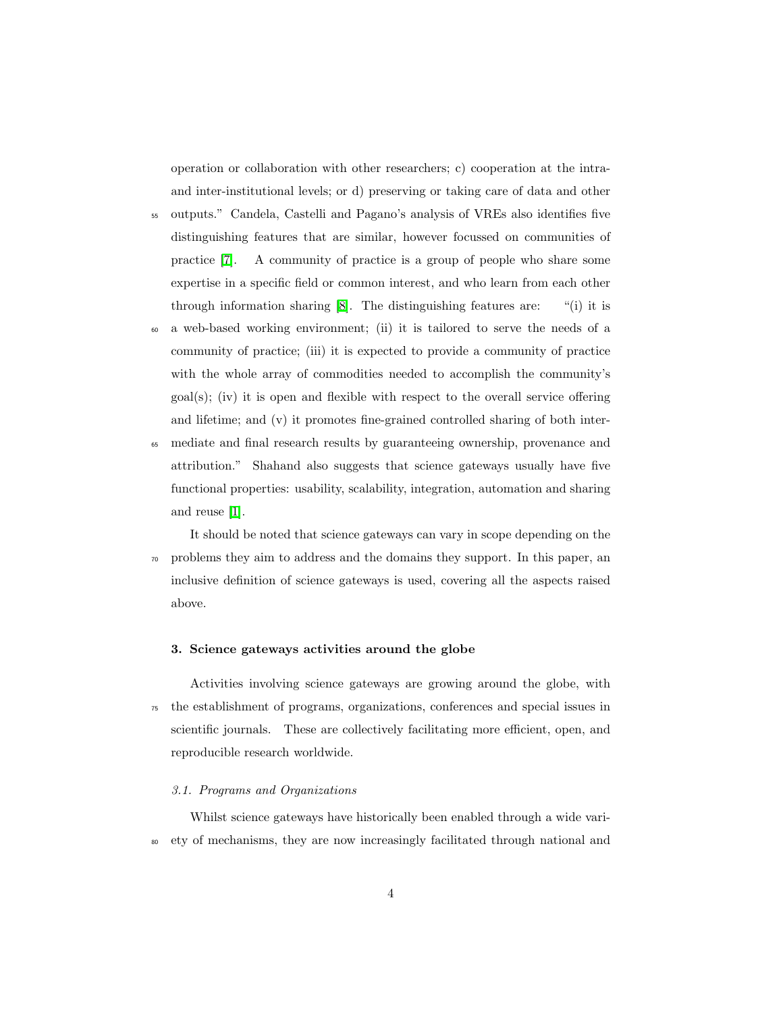operation or collaboration with other researchers; c) cooperation at the intraand inter-institutional levels; or d) preserving or taking care of data and other

- <sup>55</sup> outputs." Candela, Castelli and Pagano's analysis of VREs also identifies five distinguishing features that are similar, however focussed on communities of practice  $\boxed{7}$ . A community of practice is a group of people who share some expertise in a specific field or common interest, and who learn from each other through information sharing  $\boxed{8}$ . The distinguishing features are: "(i) it is
- <sup>60</sup> a web-based working environment; (ii) it is tailored to serve the needs of a community of practice; (iii) it is expected to provide a community of practice with the whole array of commodities needed to accomplish the community's  $\text{goal}(s)$ ; (iv) it is open and flexible with respect to the overall service offering and lifetime; and (v) it promotes fine-grained controlled sharing of both inter-
- <sup>65</sup> mediate and final research results by guaranteeing ownership, provenance and attribution." Shahand also suggests that science gateways usually have five functional properties: usability, scalability, integration, automation and sharing and reuse  $\boxed{1}$ .

It should be noted that science gateways can vary in scope depending on the <sup>70</sup> problems they aim to address and the domains they support. In this paper, an inclusive definition of science gateways is used, covering all the aspects raised above.

### 3. Science gateways activities around the globe

Activities involving science gateways are growing around the globe, with <sup>75</sup> the establishment of programs, organizations, conferences and special issues in scientific journals. These are collectively facilitating more efficient, open, and reproducible research worldwide.

### *3.1. Programs and Organizations*

Whilst science gateways have historically been enabled through a wide vari-<sup>80</sup> ety of mechanisms, they are now increasingly facilitated through national and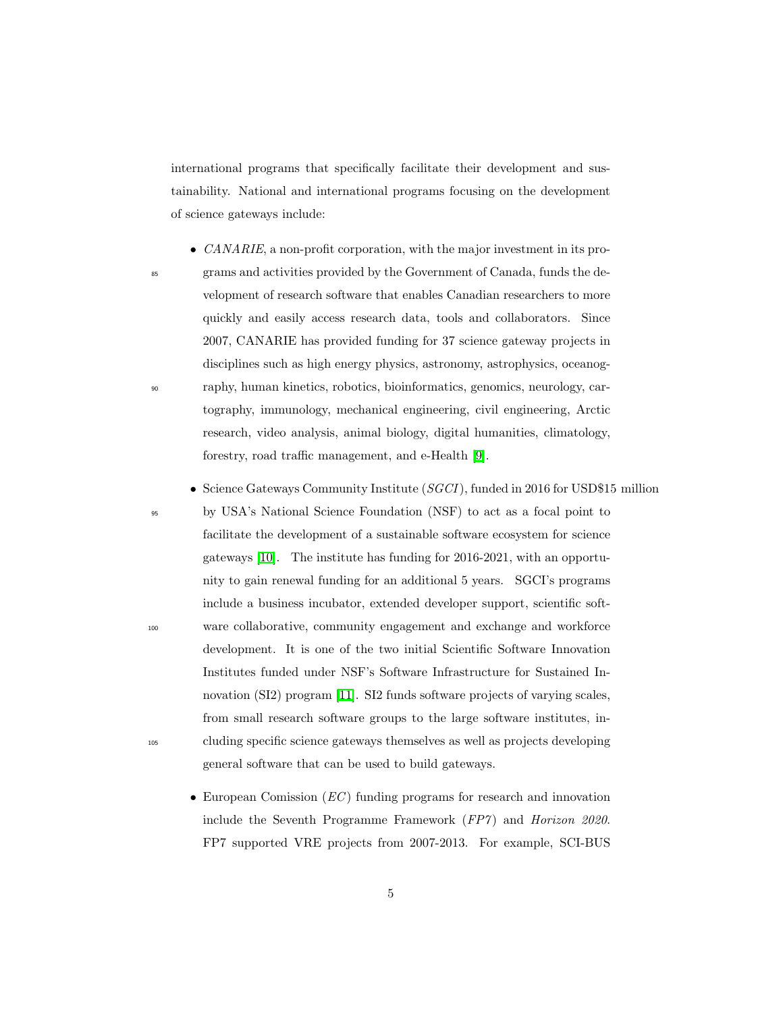international programs that specifically facilitate their development and sustainability. National and international programs focusing on the development of science gateways include:

- *CANARIE*, a non-profit corporation, with the major investment in its pro-
- 

<sup>85</sup> grams and activities provided by the Government of Canada, funds the development of research software that enables Canadian researchers to more quickly and easily access research data, tools and collaborators. Since 2007, CANARIE has provided funding for 37 science gateway projects in disciplines such as high energy physics, astronomy, astrophysics, oceanog-<sup>90</sup> raphy, human kinetics, robotics, bioinformatics, genomics, neurology, cartography, immunology, mechanical engineering, civil engineering, Arctic research, video analysis, animal biology, digital humanities, climatology, forestry, road traffic management, and e-Health  $[9]$ .

*•* Science Gateways Community Institute (*SGCI*), funded in 2016 for USD\$15 million

<sup>95</sup> by USA's National Science Foundation (NSF) to act as a focal point to facilitate the development of a sustainable software ecosystem for science gateways [10]. The institute has funding for 2016-2021, with an opportunity to gain renewal funding for an additional 5 years. SGCI's programs include a business incubator, extended developer support, scientific soft-<sup>100</sup> ware collaborative, community engagement and exchange and workforce development. It is one of the two initial Scientific Software Innovation Institutes funded under NSF's Software Infrastructure for Sustained Innovation (SI2) program **[11]**. SI2 funds software projects of varying scales, from small research software groups to the large software institutes, in-<sup>105</sup> cluding specific science gateways themselves as well as projects developing general software that can be used to build gateways.

*•* European Comission (*EC* ) funding programs for research and innovation include the Seventh Programme Framework (*FP7* ) and *Horizon 2020*. FP7 supported VRE projects from 2007-2013. For example, SCI-BUS

5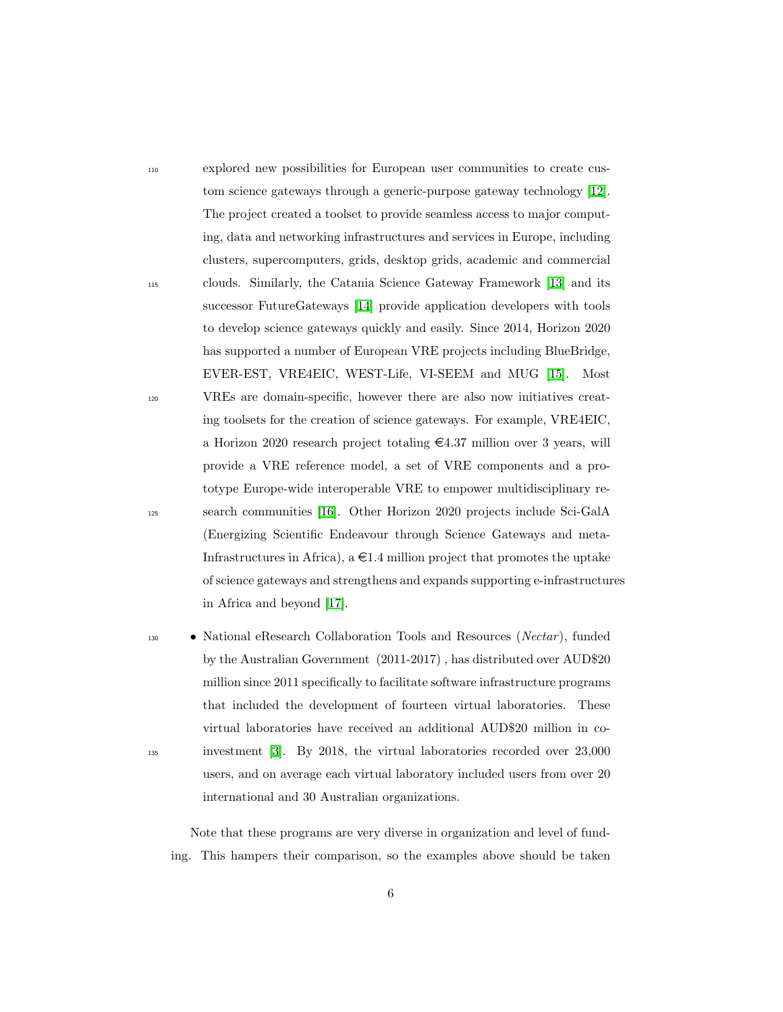<sup>110</sup> explored new possibilities for European user communities to create custom science gateways through a generic-purpose gateway technology [12]. The project created a toolset to provide seamless access to major computing, data and networking infrastructures and services in Europe, including clusters, supercomputers, grids, desktop grids, academic and commercial <sup>115</sup> clouds. Similarly, the Catania Science Gateway Framework [13] and its successor FutureGateways **14** provide application developers with tools to develop science gateways quickly and easily. Since 2014, Horizon 2020 has supported a number of European VRE projects including BlueBridge, EVER-EST, VRE4EIC, WEST-Life, VI-SEEM and MUG [15]. Most <sup>120</sup> VREs are domain-specific, however there are also now initiatives creating toolsets for the creation of science gateways. For example, VRE4EIC, a Horizon 2020 research project totaling  $\epsilon$ 4.37 million over 3 years, will provide a VRE reference model, a set of VRE components and a prototype Europe-wide interoperable VRE to empower multidisciplinary re-<sup>125</sup> search communities [16]. Other Horizon 2020 projects include Sci-GalA (Energizing Scientific Endeavour through Science Gateways and meta-Infrastructures in Africa),  $a \in 1.4$  million project that promotes the uptake of science gateways and strengthens and expands supporting e-infrastructures in Africa and beyond [17].

<sup>130</sup> *•* National eResearch Collaboration Tools and Resources (*Nectar* ), funded by the Australian Government (2011-2017) , has distributed over AUD\$20 million since 2011 specifically to facilitate software infrastructure programs that included the development of fourteen virtual laboratories. These virtual laboratories have received an additional AUD\$20 million in co-<sup>135</sup> investment [3]. By 2018, the virtual laboratories recorded over 23,000 users, and on average each virtual laboratory included users from over 20 international and 30 Australian organizations.

Note that these programs are very diverse in organization and level of funding. This hampers their comparison, so the examples above should be taken

6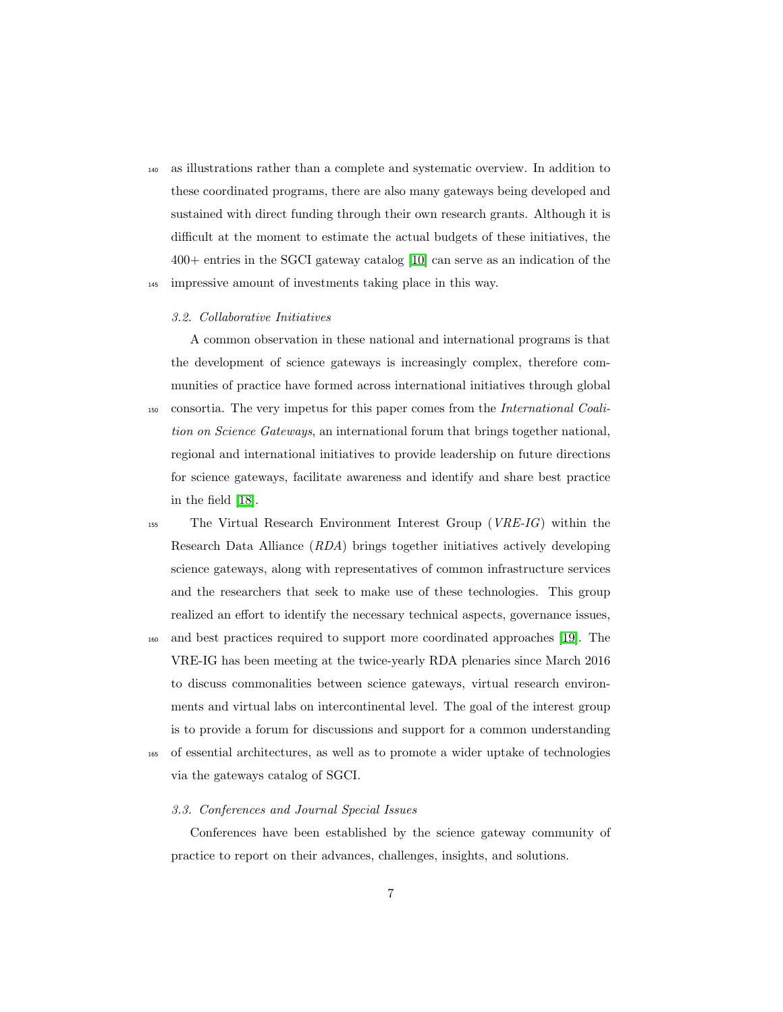<sup>140</sup> as illustrations rather than a complete and systematic overview. In addition to these coordinated programs, there are also many gateways being developed and sustained with direct funding through their own research grants. Although it is difficult at the moment to estimate the actual budgets of these initiatives, the 400+ entries in the SGCI gateway catalog [10] can serve as an indication of the <sup>145</sup> impressive amount of investments taking place in this way.

#### *3.2. Collaborative Initiatives*

in the field [18].

A common observation in these national and international programs is that the development of science gateways is increasingly complex, therefore communities of practice have formed across international initiatives through global <sup>150</sup> consortia. The very impetus for this paper comes from the *International Coalition on Science Gateways*, an international forum that brings together national, regional and international initiatives to provide leadership on future directions for science gateways, facilitate awareness and identify and share best practice

- <sup>155</sup> The Virtual Research Environment Interest Group (*VRE-IG*) within the Research Data Alliance (*RDA*) brings together initiatives actively developing science gateways, along with representatives of common infrastructure services and the researchers that seek to make use of these technologies. This group realized an effort to identify the necessary technical aspects, governance issues, <sup>160</sup> and best practices required to support more coordinated approaches [19]. The
- VRE-IG has been meeting at the twice-yearly RDA plenaries since March 2016 to discuss commonalities between science gateways, virtual research environments and virtual labs on intercontinental level. The goal of the interest group is to provide a forum for discussions and support for a common understanding <sup>165</sup> of essential architectures, as well as to promote a wider uptake of technologies
	- via the gateways catalog of SGCI.

### *3.3. Conferences and Journal Special Issues*

Conferences have been established by the science gateway community of practice to report on their advances, challenges, insights, and solutions.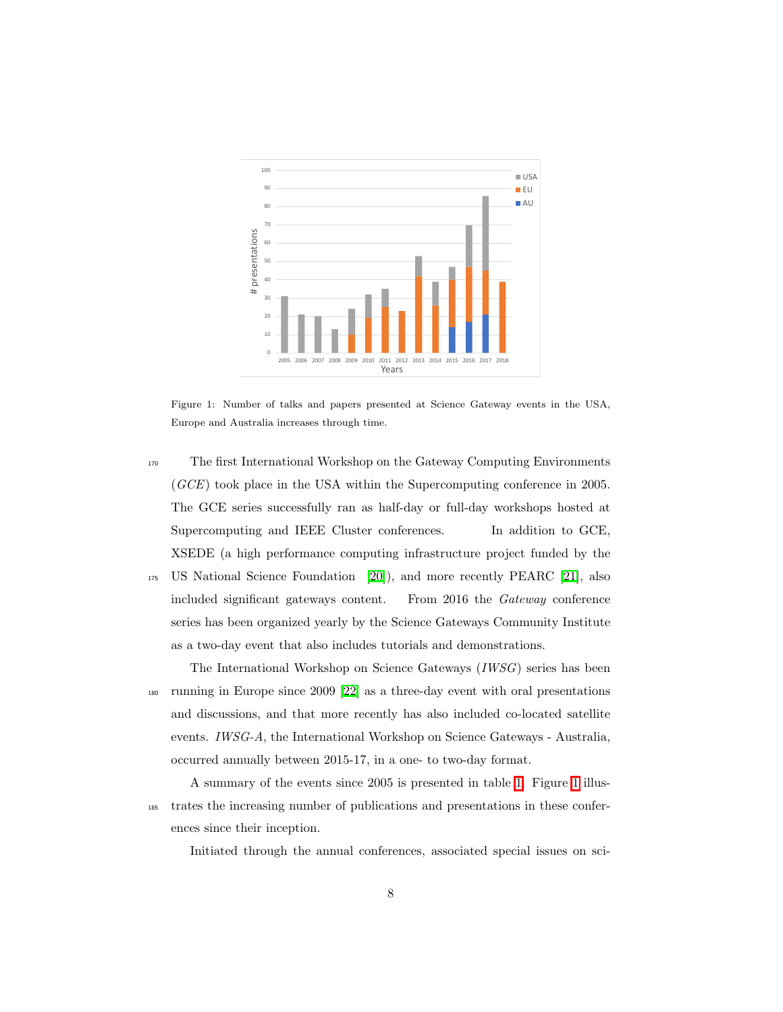

Figure 1: Number of talks and papers presented at Science Gateway events in the USA, Europe and Australia increases through time.

<sup>170</sup> The first International Workshop on the Gateway Computing Environments (*GCE*) took place in the USA within the Supercomputing conference in 2005. The GCE series successfully ran as half-day or full-day workshops hosted at Supercomputing and IEEE Cluster conferences. In addition to GCE, XSEDE (a high performance computing infrastructure project funded by the <sup>175</sup> US National Science Foundation  $[20]$ , and more recently PEARC  $[21]$ , also included significant gateways content. From 2016 the *Gateway* conference series has been organized yearly by the Science Gateways Community Institute as a two-day event that also includes tutorials and demonstrations.

The International Workshop on Science Gateways (*IWSG*) series has been <sup>180</sup> running in Europe since 2009 [22] as a three-day event with oral presentations and discussions, and that more recently has also included co-located satellite events. *IWSG-A*, the International Workshop on Science Gateways - Australia, occurred annually between 2015-17, in a one- to two-day format.

A summary of the events since 2005 is presented in table  $\overline{\Pi}$ . Figure  $\overline{\Pi}$  illus-<sup>185</sup> trates the increasing number of publications and presentations in these conferences since their inception.

Initiated through the annual conferences, associated special issues on sci-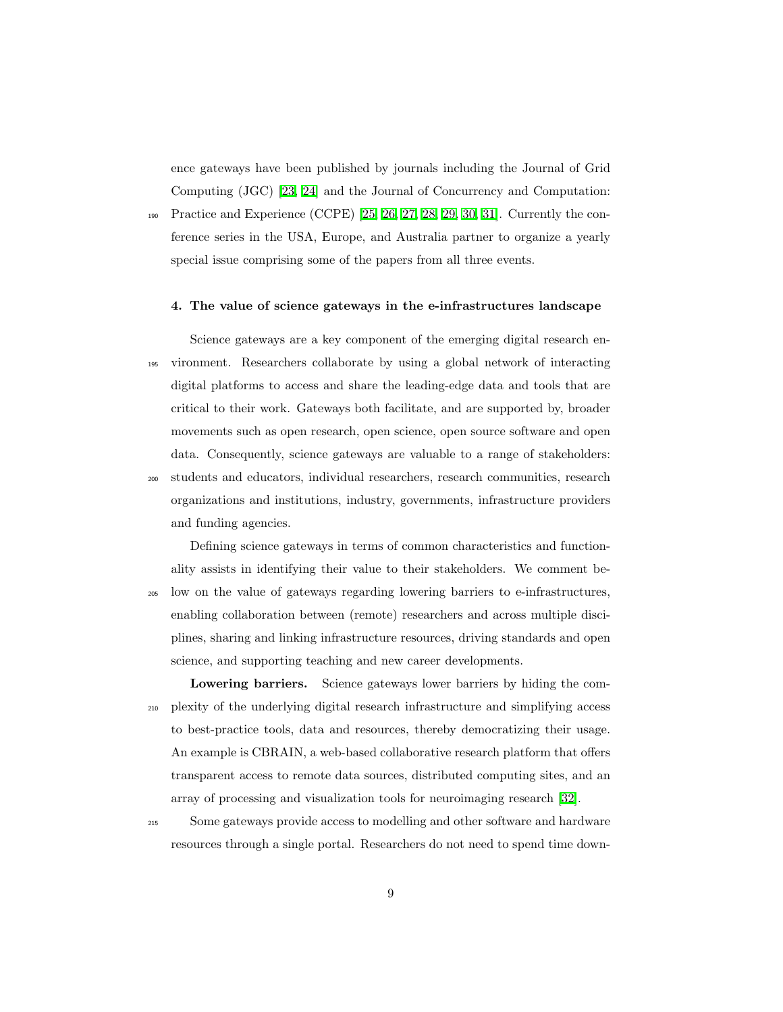ence gateways have been published by journals including the Journal of Grid Computing (JGC) [23, 24] and the Journal of Concurrency and Computation: 190 Practice and Experience (CCPE) **25, 26, 27, 28, 29, 30, 31**. Currently the conference series in the USA, Europe, and Australia partner to organize a yearly

special issue comprising some of the papers from all three events.

#### 4. The value of science gateways in the e-infrastructures landscape

Science gateways are a key component of the emerging digital research en-<sup>195</sup> vironment. Researchers collaborate by using a global network of interacting digital platforms to access and share the leading-edge data and tools that are critical to their work. Gateways both facilitate, and are supported by, broader movements such as open research, open science, open source software and open data. Consequently, science gateways are valuable to a range of stakeholders: <sup>200</sup> students and educators, individual researchers, research communities, research

organizations and institutions, industry, governments, infrastructure providers and funding agencies.

Defining science gateways in terms of common characteristics and functionality assists in identifying their value to their stakeholders. We comment be-<sup>205</sup> low on the value of gateways regarding lowering barriers to e-infrastructures, enabling collaboration between (remote) researchers and across multiple disciplines, sharing and linking infrastructure resources, driving standards and open science, and supporting teaching and new career developments.

Lowering barriers. Science gateways lower barriers by hiding the com-<sup>210</sup> plexity of the underlying digital research infrastructure and simplifying access to best-practice tools, data and resources, thereby democratizing their usage. An example is CBRAIN, a web-based collaborative research platform that offers transparent access to remote data sources, distributed computing sites, and an array of processing and visualization tools for neuroimaging research  $\boxed{32}$ .

<sup>215</sup> Some gateways provide access to modelling and other software and hardware resources through a single portal. Researchers do not need to spend time down-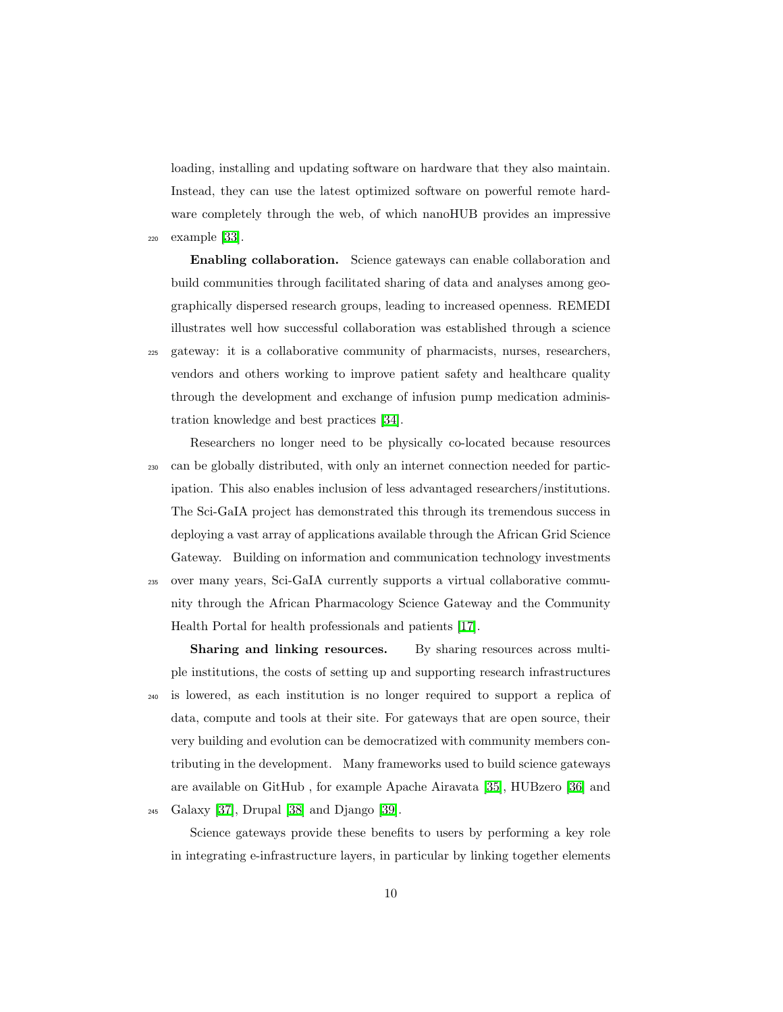loading, installing and updating software on hardware that they also maintain. Instead, they can use the latest optimized software on powerful remote hardware completely through the web, of which nanoHUB provides an impressive  $_{220}$  example  $33$ .

Enabling collaboration. Science gateways can enable collaboration and build communities through facilitated sharing of data and analyses among geographically dispersed research groups, leading to increased openness. REMEDI illustrates well how successful collaboration was established through a science <sup>225</sup> gateway: it is a collaborative community of pharmacists, nurses, researchers, vendors and others working to improve patient safety and healthcare quality through the development and exchange of infusion pump medication administration knowledge and best practices [34].

Researchers no longer need to be physically co-located because resources <sup>230</sup> can be globally distributed, with only an internet connection needed for participation. This also enables inclusion of less advantaged researchers/institutions. The Sci-GaIA project has demonstrated this through its tremendous success in deploying a vast array of applications available through the African Grid Science Gateway. Building on information and communication technology investments <sup>235</sup> over many years, Sci-GaIA currently supports a virtual collaborative community through the African Pharmacology Science Gateway and the Community Health Portal for health professionals and patients [17].

Sharing and linking resources. By sharing resources across multiple institutions, the costs of setting up and supporting research infrastructures <sup>240</sup> is lowered, as each institution is no longer required to support a replica of data, compute and tools at their site. For gateways that are open source, their very building and evolution can be democratized with community members contributing in the development. Many frameworks used to build science gateways are available on GitHub , for example Apache Airavata [35], HUBzero [36] and  $_{245}$  Galaxy  $\boxed{37}$ , Drupal  $\boxed{38}$  and Django  $\boxed{39}$ .

Science gateways provide these benefits to users by performing a key role in integrating e-infrastructure layers, in particular by linking together elements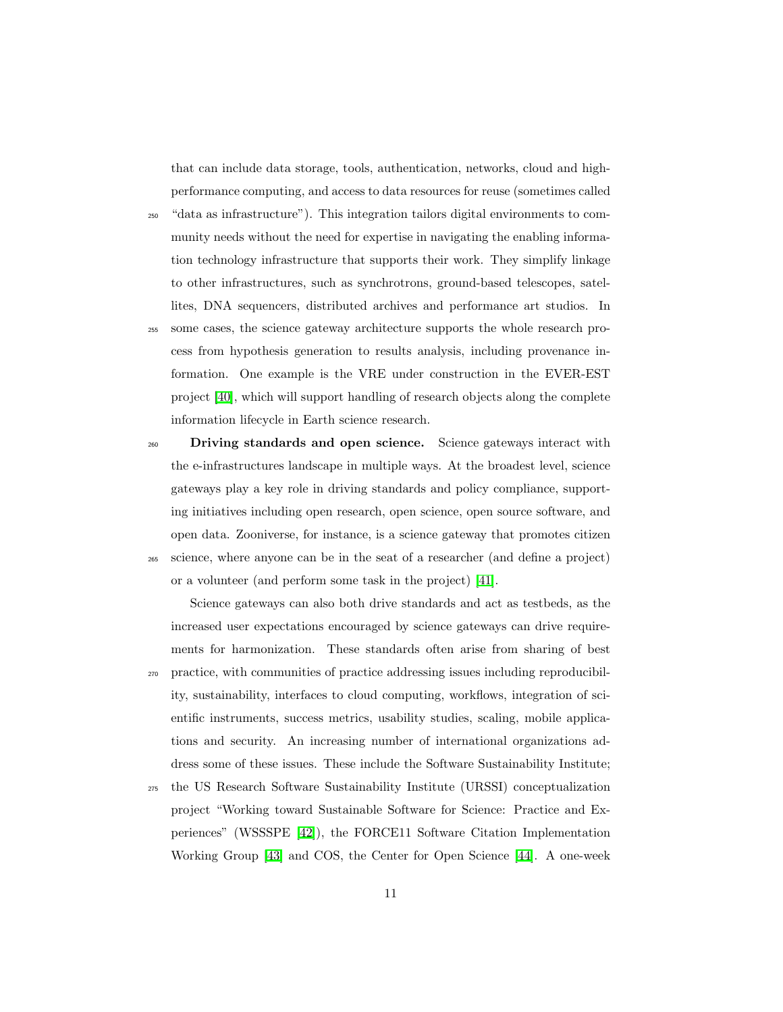that can include data storage, tools, authentication, networks, cloud and highperformance computing, and access to data resources for reuse (sometimes called

- <sup>250</sup> "data as infrastructure"). This integration tailors digital environments to community needs without the need for expertise in navigating the enabling information technology infrastructure that supports their work. They simplify linkage to other infrastructures, such as synchrotrons, ground-based telescopes, satellites, DNA sequencers, distributed archives and performance art studios. In
- <sup>255</sup> some cases, the science gateway architecture supports the whole research process from hypothesis generation to results analysis, including provenance information. One example is the VRE under construction in the EVER-EST project [40], which will support handling of research objects along the complete information lifecycle in Earth science research.
- <sup>260</sup> Driving standards and open science. Science gateways interact with the e-infrastructures landscape in multiple ways. At the broadest level, science gateways play a key role in driving standards and policy compliance, supporting initiatives including open research, open science, open source software, and open data. Zooniverse, for instance, is a science gateway that promotes citizen <sup>265</sup> science, where anyone can be in the seat of a researcher (and define a project) or a volunteer (and perform some task in the project) [41].

Science gateways can also both drive standards and act as testbeds, as the increased user expectations encouraged by science gateways can drive requirements for harmonization. These standards often arise from sharing of best <sup>270</sup> practice, with communities of practice addressing issues including reproducibil-

- ity, sustainability, interfaces to cloud computing, workflows, integration of scientific instruments, success metrics, usability studies, scaling, mobile applications and security. An increasing number of international organizations address some of these issues. These include the Software Sustainability Institute;
- <sup>275</sup> the US Research Software Sustainability Institute (URSSI) conceptualization project "Working toward Sustainable Software for Science: Practice and Experiences" (WSSSPE [42]), the FORCE11 Software Citation Implementation Working Group **43** and COS, the Center for Open Science **44**. A one-week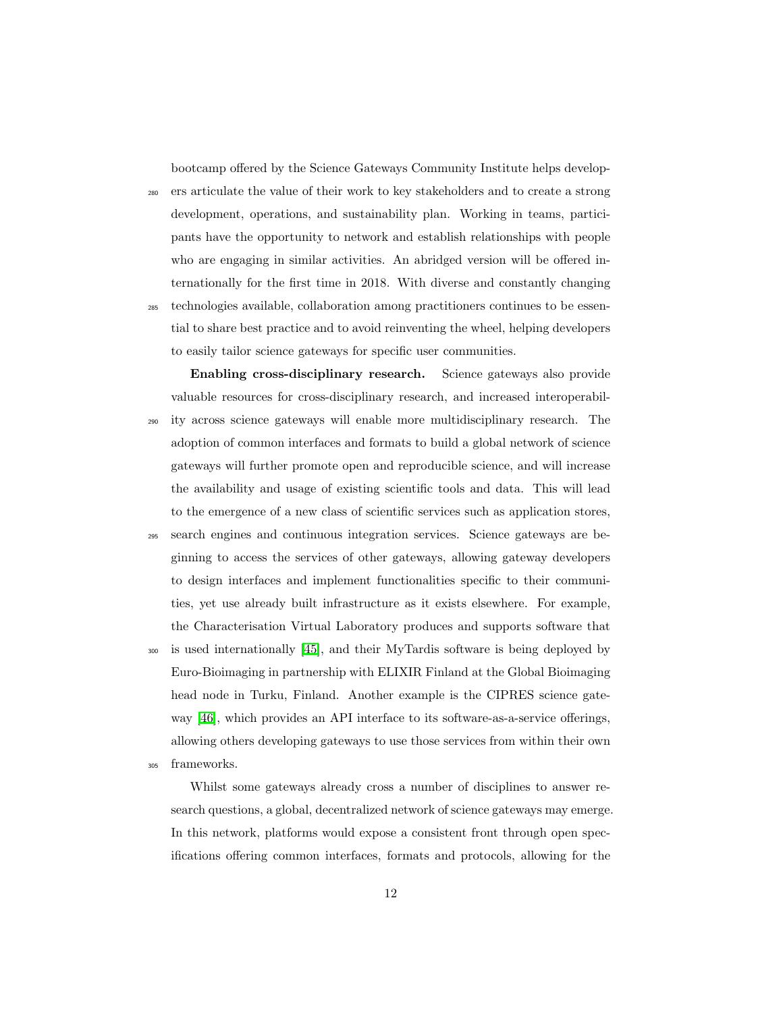bootcamp offered by the Science Gateways Community Institute helps develop-

<sup>280</sup> ers articulate the value of their work to key stakeholders and to create a strong development, operations, and sustainability plan. Working in teams, participants have the opportunity to network and establish relationships with people who are engaging in similar activities. An abridged version will be offered internationally for the first time in 2018. With diverse and constantly changing <sup>285</sup> technologies available, collaboration among practitioners continues to be essential to share best practice and to avoid reinventing the wheel, helping developers to easily tailor science gateways for specific user communities.

Enabling cross-disciplinary research. Science gateways also provide valuable resources for cross-disciplinary research, and increased interoperabil-<sup>290</sup> ity across science gateways will enable more multidisciplinary research. The adoption of common interfaces and formats to build a global network of science gateways will further promote open and reproducible science, and will increase the availability and usage of existing scientific tools and data. This will lead to the emergence of a new class of scientific services such as application stores,

<sup>295</sup> search engines and continuous integration services. Science gateways are beginning to access the services of other gateways, allowing gateway developers to design interfaces and implement functionalities specific to their communities, yet use already built infrastructure as it exists elsewhere. For example, the Characterisation Virtual Laboratory produces and supports software that

<sup>300</sup> is used internationally [45], and their MyTardis software is being deployed by Euro-Bioimaging in partnership with ELIXIR Finland at the Global Bioimaging head node in Turku, Finland. Another example is the CIPRES science gateway  $[46]$ , which provides an API interface to its software-as-a-service offerings, allowing others developing gateways to use those services from within their own <sup>305</sup> frameworks.

Whilst some gateways already cross a number of disciplines to answer research questions, a global, decentralized network of science gateways may emerge. In this network, platforms would expose a consistent front through open specifications offering common interfaces, formats and protocols, allowing for the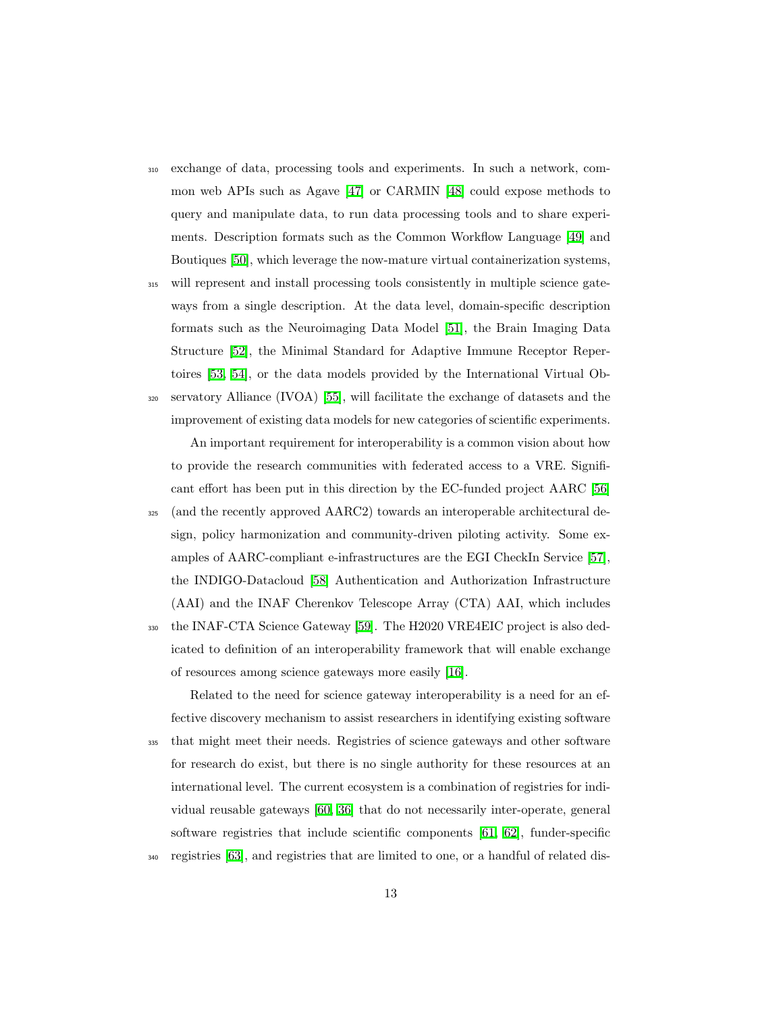- <sup>310</sup> exchange of data, processing tools and experiments. In such a network, common web APIs such as Agave [47] or CARMIN [48] could expose methods to query and manipulate data, to run data processing tools and to share experiments. Description formats such as the Common Workflow Language [49] and Boutiques [50], which leverage the now-mature virtual containerization systems,
- <sup>315</sup> will represent and install processing tools consistently in multiple science gateways from a single description. At the data level, domain-specific description formats such as the Neuroimaging Data Model [51], the Brain Imaging Data Structure [52], the Minimal Standard for Adaptive Immune Receptor Repertoires [53, 54], or the data models provided by the International Virtual Ob-
- $320$  servatory Alliance (IVOA)  $\boxed{55}$ , will facilitate the exchange of datasets and the improvement of existing data models for new categories of scientific experiments. An important requirement for interoperability is a common vision about how to provide the research communities with federated access to a VRE. Significant effort has been put in this direction by the EC-funded project AARC [56]
- <sup>325</sup> (and the recently approved AARC2) towards an interoperable architectural design, policy harmonization and community-driven piloting activity. Some examples of AARC-compliant e-infrastructures are the EGI CheckIn Service [57], the INDIGO-Datacloud [58] Authentication and Authorization Infrastructure (AAI) and the INAF Cherenkov Telescope Array (CTA) AAI, which includes
- <sup>330</sup> the INAF-CTA Science Gateway **[59]**. The H2020 VRE4EIC project is also dedicated to definition of an interoperability framework that will enable exchange of resources among science gateways more easily [16].

Related to the need for science gateway interoperability is a need for an effective discovery mechanism to assist researchers in identifying existing software <sup>335</sup> that might meet their needs. Registries of science gateways and other software for research do exist, but there is no single authority for these resources at an international level. The current ecosystem is a combination of registries for individual reusable gateways [60, 36] that do not necessarily inter-operate, general software registries that include scientific components  $[61]$ ,  $[62]$ , funder-specific <sup>340</sup> registries **63**, and registries that are limited to one, or a handful of related dis-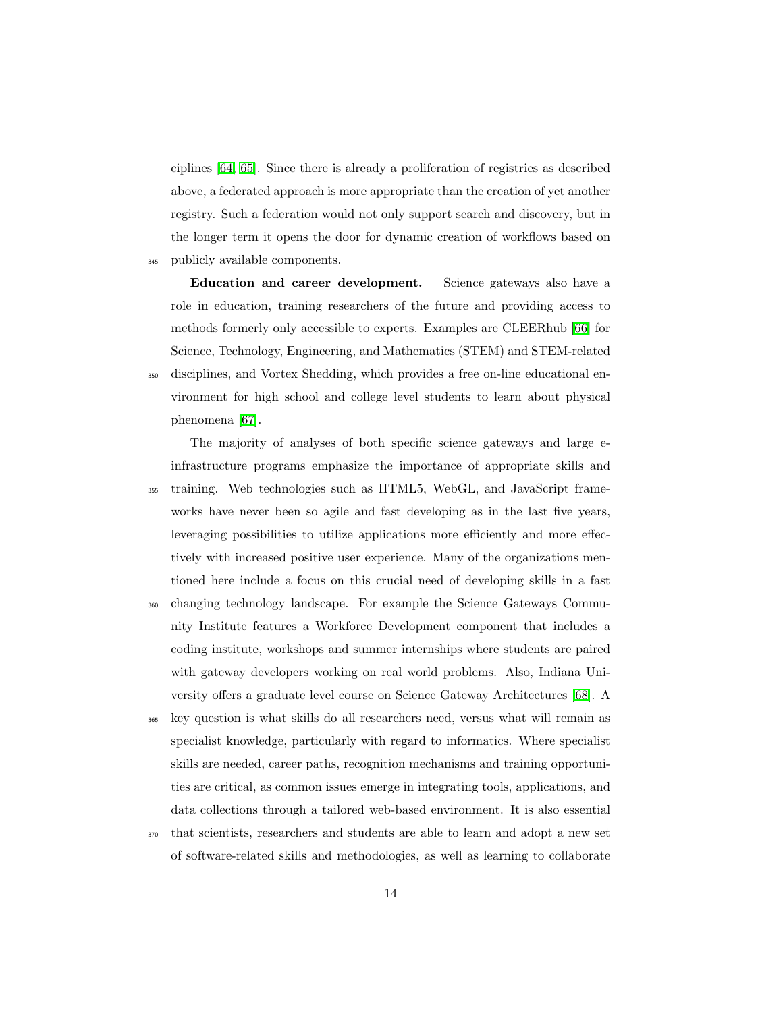ciplines [64, 65]. Since there is already a proliferation of registries as described above, a federated approach is more appropriate than the creation of yet another registry. Such a federation would not only support search and discovery, but in the longer term it opens the door for dynamic creation of workflows based on <sup>345</sup> publicly available components.

Education and career development. Science gateways also have a role in education, training researchers of the future and providing access to methods formerly only accessible to experts. Examples are CLEERhub [66] for Science, Technology, Engineering, and Mathematics (STEM) and STEM-related <sup>350</sup> disciplines, and Vortex Shedding, which provides a free on-line educational environment for high school and college level students to learn about physical phenomena [67].

The majority of analyses of both specific science gateways and large einfrastructure programs emphasize the importance of appropriate skills and <sup>355</sup> training. Web technologies such as HTML5, WebGL, and JavaScript frameworks have never been so agile and fast developing as in the last five years, leveraging possibilities to utilize applications more efficiently and more effectively with increased positive user experience. Many of the organizations mentioned here include a focus on this crucial need of developing skills in a fast <sup>360</sup> changing technology landscape. For example the Science Gateways Community Institute features a Workforce Development component that includes a coding institute, workshops and summer internships where students are paired with gateway developers working on real world problems. Also, Indiana University offers a graduate level course on Science Gateway Architectures **[68]**. A

<sup>365</sup> key question is what skills do all researchers need, versus what will remain as specialist knowledge, particularly with regard to informatics. Where specialist skills are needed, career paths, recognition mechanisms and training opportunities are critical, as common issues emerge in integrating tools, applications, and data collections through a tailored web-based environment. It is also essential

<sup>370</sup> that scientists, researchers and students are able to learn and adopt a new set of software-related skills and methodologies, as well as learning to collaborate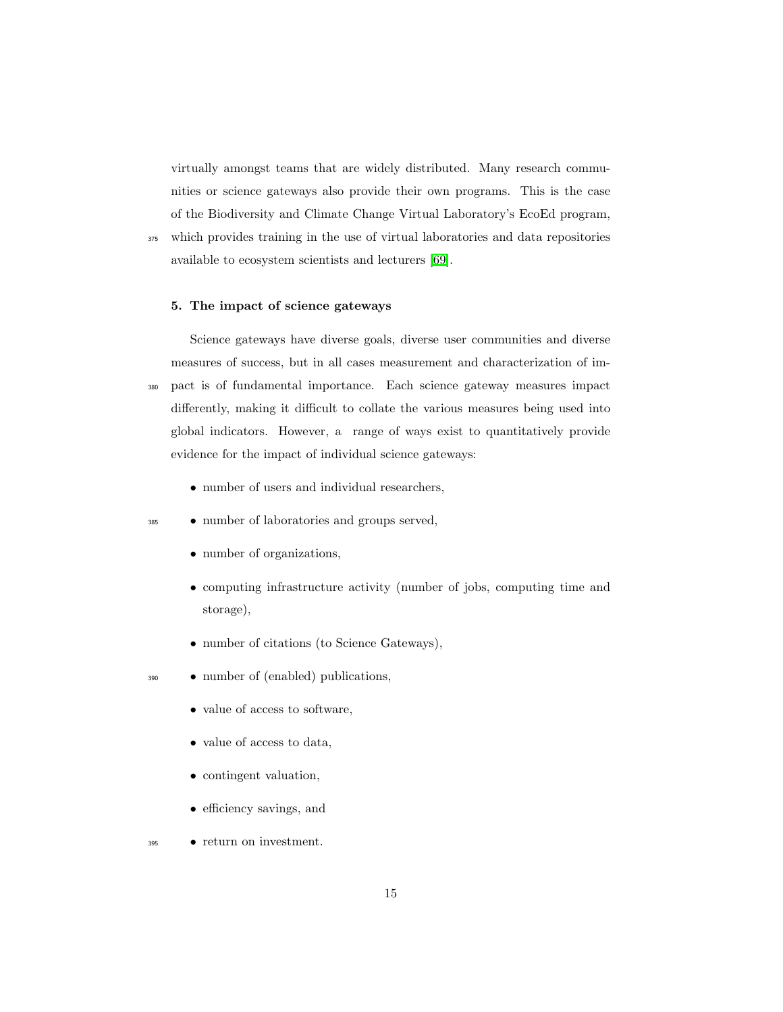virtually amongst teams that are widely distributed. Many research communities or science gateways also provide their own programs. This is the case of the Biodiversity and Climate Change Virtual Laboratory's EcoEd program, <sup>375</sup> which provides training in the use of virtual laboratories and data repositories

#### 5. The impact of science gateways

available to ecosystem scientists and lecturers [69].

Science gateways have diverse goals, diverse user communities and diverse measures of success, but in all cases measurement and characterization of im-<sup>380</sup> pact is of fundamental importance. Each science gateway measures impact differently, making it difficult to collate the various measures being used into global indicators. However, a range of ways exist to quantitatively provide evidence for the impact of individual science gateways:

• number of users and individual researchers,

#### <sup>385</sup> • number of laboratories and groups served,

- *•* number of organizations,
- *•* computing infrastructure activity (number of jobs, computing time and storage),
- *•* number of citations (to Science Gateways),
- <sup>390</sup> *•* number of (enabled) publications,
	- *•* value of access to software,
	- *•* value of access to data,
	- contingent valuation,
	- efficiency savings, and
- <sup>395</sup> *•* return on investment.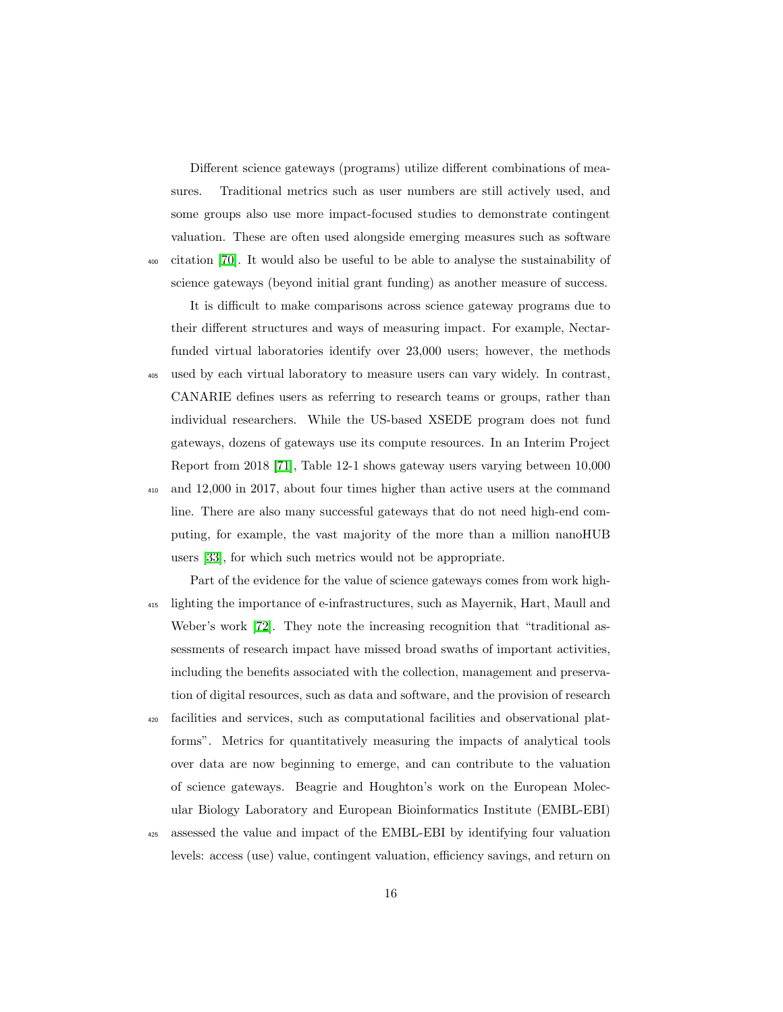Different science gateways (programs) utilize different combinations of measures. Traditional metrics such as user numbers are still actively used, and some groups also use more impact-focused studies to demonstrate contingent valuation. These are often used alongside emerging measures such as software <sup>400</sup> citation  $\overline{70}$ . It would also be useful to be able to analyse the sustainability of science gateways (beyond initial grant funding) as another measure of success.

It is difficult to make comparisons across science gateway programs due to their different structures and ways of measuring impact. For example, Nectarfunded virtual laboratories identify over 23,000 users; however, the methods <sup>405</sup> used by each virtual laboratory to measure users can vary widely. In contrast, CANARIE defines users as referring to research teams or groups, rather than individual researchers. While the US-based XSEDE program does not fund gateways, dozens of gateways use its compute resources. In an Interim Project Report from 2018 [71], Table 12-1 shows gateway users varying between 10,000 <sup>410</sup> and 12,000 in 2017, about four times higher than active users at the command line. There are also many successful gateways that do not need high-end computing, for example, the vast majority of the more than a million nanoHUB users [33], for which such metrics would not be appropriate.

- Part of the evidence for the value of science gateways comes from work high-<sup>415</sup> lighting the importance of e-infrastructures, such as Mayernik, Hart, Maull and Weber's work  $\boxed{72}$ . They note the increasing recognition that "traditional assessments of research impact have missed broad swaths of important activities, including the benefits associated with the collection, management and preservation of digital resources, such as data and software, and the provision of research
- <sup>420</sup> facilities and services, such as computational facilities and observational platforms". Metrics for quantitatively measuring the impacts of analytical tools over data are now beginning to emerge, and can contribute to the valuation of science gateways. Beagrie and Houghton's work on the European Molecular Biology Laboratory and European Bioinformatics Institute (EMBL-EBI)
- <sup>425</sup> assessed the value and impact of the EMBL-EBI by identifying four valuation levels: access (use) value, contingent valuation, efficiency savings, and return on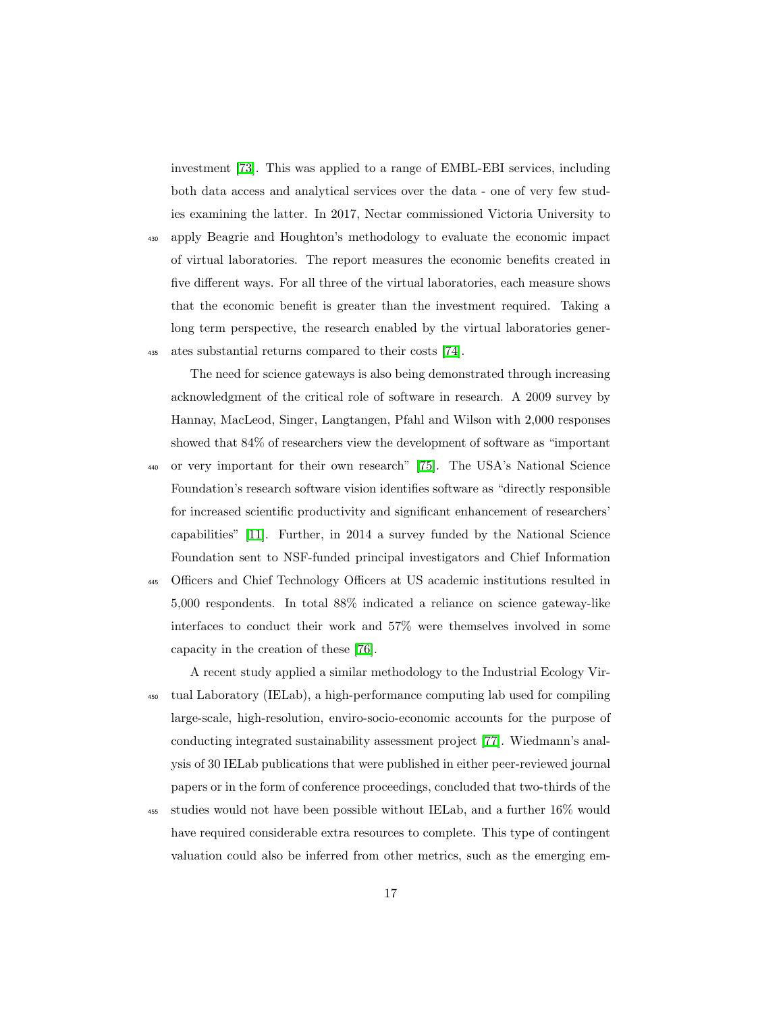investment [73]. This was applied to a range of EMBL-EBI services, including both data access and analytical services over the data - one of very few studies examining the latter. In 2017, Nectar commissioned Victoria University to

<sup>430</sup> apply Beagrie and Houghton's methodology to evaluate the economic impact of virtual laboratories. The report measures the economic benefits created in five different ways. For all three of the virtual laboratories, each measure shows that the economic benefit is greater than the investment required. Taking a long term perspective, the research enabled by the virtual laboratories gener-435 ates substantial returns compared to their costs  $\boxed{74}$ .

The need for science gateways is also being demonstrated through increasing acknowledgment of the critical role of software in research. A 2009 survey by Hannay, MacLeod, Singer, Langtangen, Pfahl and Wilson with 2,000 responses showed that 84% of researchers view the development of software as "important <sup>440</sup> or very important for their own research" [75]. The USA's National Science Foundation's research software vision identifies software as "directly responsible for increased scientific productivity and significant enhancement of researchers' capabilities" [11]. Further, in 2014 a survey funded by the National Science Foundation sent to NSF-funded principal investigators and Chief Information

<sup>445</sup> Officers and Chief Technology Officers at US academic institutions resulted in 5,000 respondents. In total 88% indicated a reliance on science gateway-like interfaces to conduct their work and 57% were themselves involved in some capacity in the creation of these [76].

A recent study applied a similar methodology to the Industrial Ecology Vir-<sup>450</sup> tual Laboratory (IELab), a high-performance computing lab used for compiling large-scale, high-resolution, enviro-socio-economic accounts for the purpose of conducting integrated sustainability assessment project [77]. Wiedmann's analysis of 30 IELab publications that were published in either peer-reviewed journal papers or in the form of conference proceedings, concluded that two-thirds of the

<sup>455</sup> studies would not have been possible without IELab, and a further 16% would have required considerable extra resources to complete. This type of contingent valuation could also be inferred from other metrics, such as the emerging em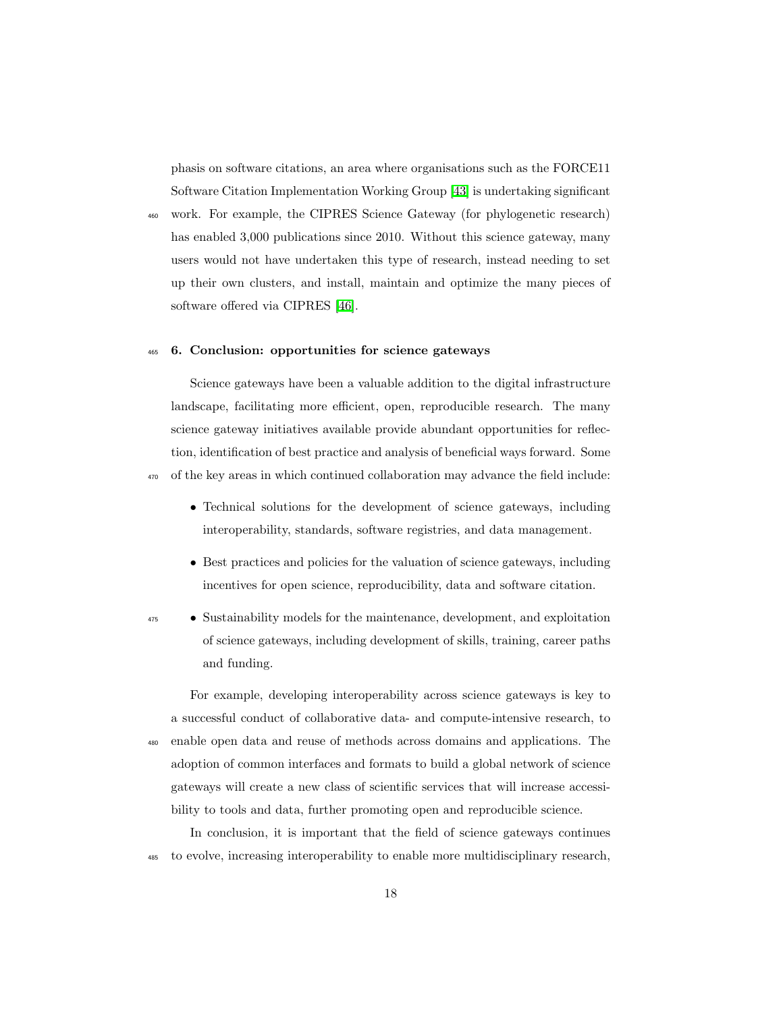phasis on software citations, an area where organisations such as the FORCE11 Software Citation Implementation Working Group [43] is undertaking significant

<sup>460</sup> work. For example, the CIPRES Science Gateway (for phylogenetic research) has enabled 3,000 publications since 2010. Without this science gateway, many users would not have undertaken this type of research, instead needing to set up their own clusters, and install, maintain and optimize the many pieces of software offered via CIPRES [46].

#### <sup>465</sup> 6. Conclusion: opportunities for science gateways

Science gateways have been a valuable addition to the digital infrastructure landscape, facilitating more efficient, open, reproducible research. The many science gateway initiatives available provide abundant opportunities for reflection, identification of best practice and analysis of beneficial ways forward. Some <sup>470</sup> of the key areas in which continued collaboration may advance the field include:

- Technical solutions for the development of science gateways, including interoperability, standards, software registries, and data management.
- Best practices and policies for the valuation of science gateways, including incentives for open science, reproducibility, data and software citation.
- 
- <sup>475</sup> *•* Sustainability models for the maintenance, development, and exploitation of science gateways, including development of skills, training, career paths and funding.

For example, developing interoperability across science gateways is key to a successful conduct of collaborative data- and compute-intensive research, to <sup>480</sup> enable open data and reuse of methods across domains and applications. The adoption of common interfaces and formats to build a global network of science gateways will create a new class of scientific services that will increase accessibility to tools and data, further promoting open and reproducible science.

In conclusion, it is important that the field of science gateways continues <sup>485</sup> to evolve, increasing interoperability to enable more multidisciplinary research,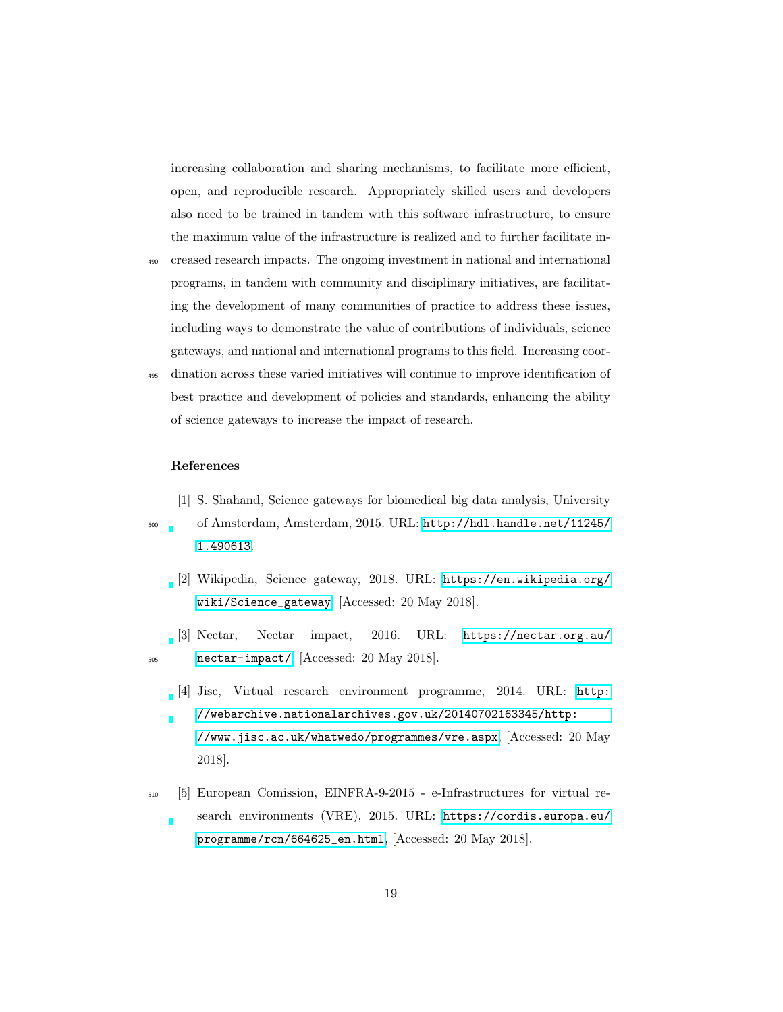increasing collaboration and sharing mechanisms, to facilitate more efficient, open, and reproducible research. Appropriately skilled users and developers also need to be trained in tandem with this software infrastructure, to ensure the maximum value of the infrastructure is realized and to further facilitate in-

- <sup>490</sup> creased research impacts. The ongoing investment in national and international programs, in tandem with community and disciplinary initiatives, are facilitating the development of many communities of practice to address these issues, including ways to demonstrate the value of contributions of individuals, science gateways, and national and international programs to this field. Increasing coor-
- <sup>495</sup> dination across these varied initiatives will continue to improve identification of best practice and development of policies and standards, enhancing the ability of science gateways to increase the impact of research.

#### References

- [1] S. Shahand, Science gateways for biomedical big data analysis, University
- <sup>500</sup> of Amsterdam, Amsterdam, 2015. URL: [http://hdl.handle.net/11245/](http://hdl.handle.net/11245/1.490613) [1.490613](http://hdl.handle.net/11245/1.490613).
	- [2] Wikipedia, Science gateway, 2018. URL: [https://en.wikipedia.org/](https://en.wikipedia.org/wiki/Science_gateway) [wiki/Science\\_gateway](https://en.wikipedia.org/wiki/Science_gateway), [Accessed: 20 May 2018].
- [3] Nectar, Nectar impact, 2016. URL: [https://nectar.org.au/](https://nectar.org.au/nectar-impact/) 505 [nectar-impact/](https://nectar.org.au/nectar-impact/), [Accessed: 20 May 2018].
	- [4] Jisc, Virtual research environment programme, 2014. URL: [http:](http://webarchive.nationalarchives.gov.uk/20140702163345/http://www.jisc.ac.uk/whatwedo/programmes/vre.aspx) [//webarchive.nationalarchives.gov.uk/20140702163345/http:](http://webarchive.nationalarchives.gov.uk/20140702163345/http://www.jisc.ac.uk/whatwedo/programmes/vre.aspx) [//www.jisc.ac.uk/whatwedo/programmes/vre.aspx](http://webarchive.nationalarchives.gov.uk/20140702163345/http://www.jisc.ac.uk/whatwedo/programmes/vre.aspx), [Accessed: 20 May 2018].
- <sup>510</sup> [5] European Comission, EINFRA-9-2015 e-Infrastructures for virtual research environments (VRE), 2015. URL: [https://cordis.europa.eu/](https://cordis.europa.eu/programme/rcn/664625_en.html) [programme/rcn/664625\\_en.html](https://cordis.europa.eu/programme/rcn/664625_en.html), [Accessed: 20 May 2018].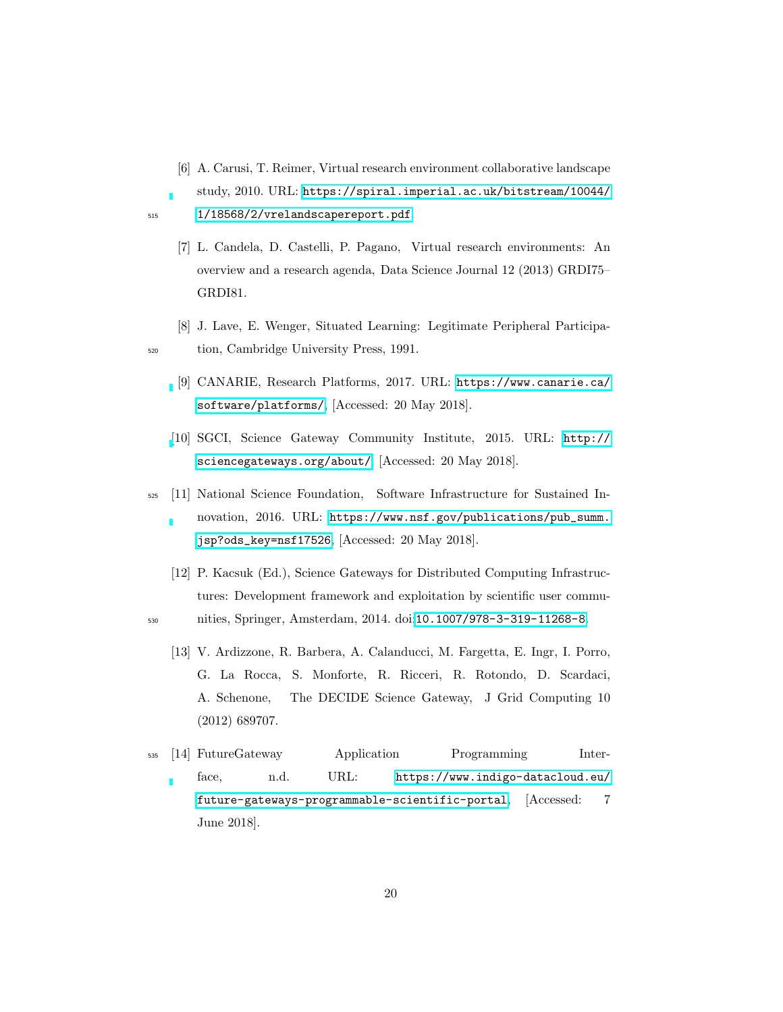- [6] A. Carusi, T. Reimer, Virtual research environment collaborative landscape
- study, 2010. URL: [https://spiral.imperial.ac.uk/bitstream/10044/](https://spiral.imperial.ac.uk/bitstream/10044/1/18568/2/vrelandscapereport.pdf) 515 [1/18568/2/vrelandscapereport.pdf](https://spiral.imperial.ac.uk/bitstream/10044/1/18568/2/vrelandscapereport.pdf)
	- [7] L. Candela, D. Castelli, P. Pagano, Virtual research environments: An overview and a research agenda, Data Science Journal 12 (2013) GRDI75– GRDI81.
- [8] J. Lave, E. Wenger, Situated Learning: Legitimate Peripheral Participa-<sup>520</sup> tion, Cambridge University Press, 1991.
	- [9] CANARIE, Research Platforms, 2017. URL: [https://www.canarie.ca/](https://www.canarie.ca/software/platforms/) [software/platforms/](https://www.canarie.ca/software/platforms/), [Accessed: 20 May 2018].
	- [\[](http://sciencegateways.org/about/)10] SGCI, Science Gateway Community Institute, 2015. URL: [http://](http://sciencegateways.org/about/) [sciencegateways.org/about/](http://sciencegateways.org/about/), [Accessed: 20 May 2018].
- <sup>525</sup> [11] National Science Foundation, Software Infrastructure for Sustained Innovation, 2016. URL: [https://www.nsf.gov/publications/pub\\_summ.](https://www.nsf.gov/publications/pub_summ.jsp?ods_key=nsf17526) [jsp?ods\\_key=nsf17526](https://www.nsf.gov/publications/pub_summ.jsp?ods_key=nsf17526), [Accessed: 20 May 2018].
	- [12] P. Kacsuk (Ed.), Science Gateways for Distributed Computing Infrastructures: Development framework and exploitation by scientific user commu-
- 
- 530 nities, Springer, Amsterdam, 2014. doi:<sup>[10.1007/978-3-319-11268-8](http://dx.doi.org/10.1007/978-3-319-11268-8)</sup>.
	- [13] V. Ardizzone, R. Barbera, A. Calanducci, M. Fargetta, E. Ingr, I. Porro, G. La Rocca, S. Monforte, R. Ricceri, R. Rotondo, D. Scardaci, A. Schenone, The DECIDE Science Gateway, J Grid Computing 10 (2012) 689707.
- <sup>535</sup> [14] FutureGateway Application Programming Interface, n.d. URL: [https://www.indigo-datacloud.eu/](https://www.indigo-datacloud.eu/future-gateways-programmable-scientific-portal) [future-gateways-programmable-scientific-portal](https://www.indigo-datacloud.eu/future-gateways-programmable-scientific-portal), [Accessed: 7 June 2018].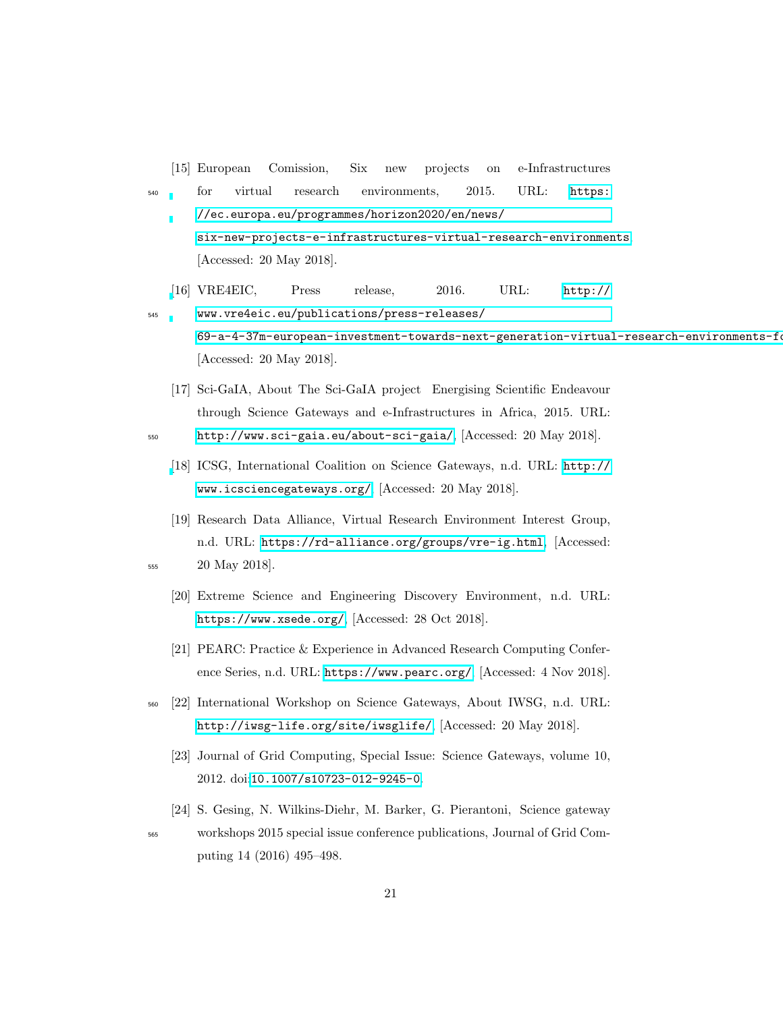[15] European Comission, Six new projects on e-Infrastructures <sub>540</sub> for virtual research environments, 2015. URL: [https:](https://ec.europa.eu/programmes/horizon2020/en/news/six-new-projects-e-infrastructures-virtual-research-environments) [//ec.europa.eu/programmes/horizon2020/en/news/](https://ec.europa.eu/programmes/horizon2020/en/news/six-new-projects-e-infrastructures-virtual-research-environments) [six-new-projects-e-infrastructures-virtual-research-environments](https://ec.europa.eu/programmes/horizon2020/en/news/six-new-projects-e-infrastructures-virtual-research-environments), [Accessed: 20 May 2018]. [\[](http://www.vre4eic.eu/publications/press-releases/69-a-4-37m-european-investment-towards-next-generation-virtual-research-environments-for-70-000-researchers)16] VRE4EIC, Press release, 2016. URL: [http://](http://www.vre4eic.eu/publications/press-releases/69-a-4-37m-european-investment-towards-next-generation-virtual-research-environments-for-70-000-researchers) <sup>545</sup> [www.vre4eic.eu/publications/press-releases/](http://www.vre4eic.eu/publications/press-releases/69-a-4-37m-european-investment-towards-next-generation-virtual-research-environments-for-70-000-researchers)  $69-a-4-37$ m-european-investment-towards-next-generation-virtual-research-environments-for-[Accessed: 20 May 2018]. [17] Sci-GaIA, About The Sci-GaIA project Energising Scientific Endeavour through Science Gateways and e-Infrastructures in Africa, 2015. URL: <sup>550</sup> <http://www.sci-gaia.eu/about-sci-gaia/>, [Accessed: 20 May 2018]. [\[](http://www.icsciencegateways.org/)18] ICSG, International Coalition on Science Gateways, n.d. URL: [http://](http://www.icsciencegateways.org/) [www.icsciencegateways.org/](http://www.icsciencegateways.org/), [Accessed: 20 May 2018]. [19] Research Data Alliance, Virtual Research Environment Interest Group, n.d. URL: <https://rd-alliance.org/groups/vre-ig.html>, [Accessed: <sup>555</sup> 20 May 2018]. [20] Extreme Science and Engineering Discovery Environment, n.d. URL: <https://www.xsede.org/>, [Accessed: 28 Oct 2018]. [21] PEARC: Practice & Experience in Advanced Research Computing Conference Series, n.d. URL: <https://www.pearc.org/>, [Accessed: 4 Nov 2018]. <sup>560</sup> [22] International Workshop on Science Gateways, About IWSG, n.d. URL: <http://iwsg-life.org/site/iwsglife/>, [Accessed: 20 May 2018]. [23] Journal of Grid Computing, Special Issue: Science Gateways, volume 10, 2012. doi:[10.1007/s10723-012-9245-0](http://dx.doi.org/10.1007/s10723-012-9245-0). [24] S. Gesing, N. Wilkins-Diehr, M. Barker, G. Pierantoni, Science gateway

<sup>565</sup> workshops 2015 special issue conference publications, Journal of Grid Computing 14 (2016) 495–498.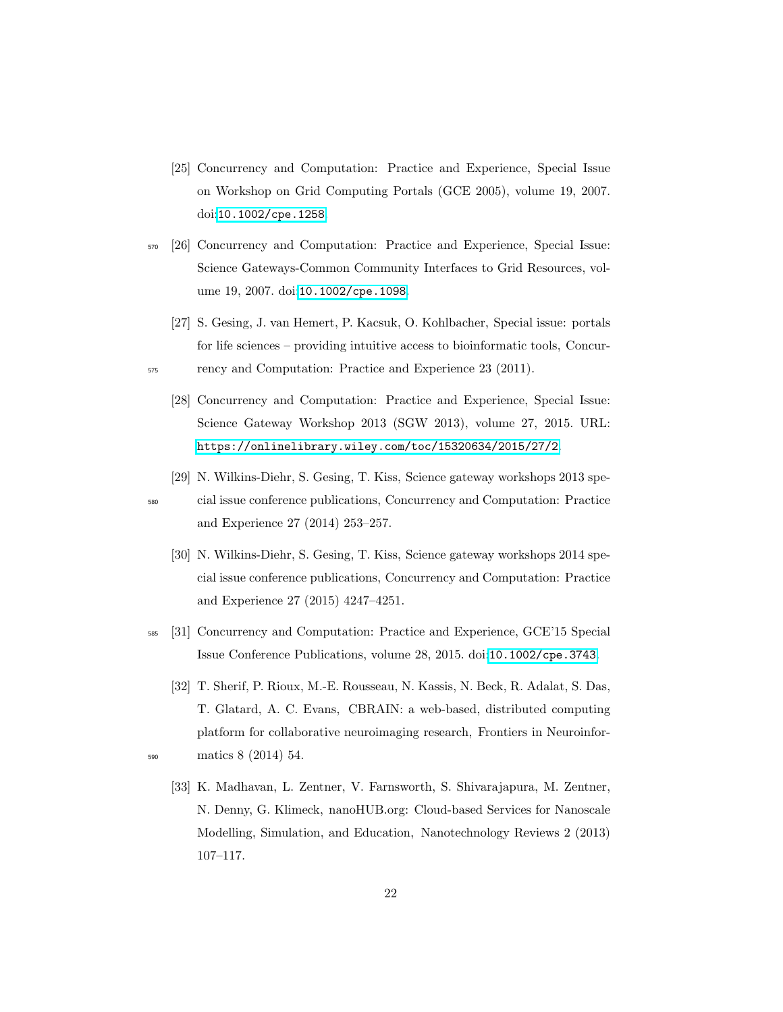- [25] Concurrency and Computation: Practice and Experience, Special Issue on Workshop on Grid Computing Portals (GCE 2005), volume 19, 2007. doi:[10.1002/cpe.1258](http://dx.doi.org/10.1002/cpe.1258).
- <sup>570</sup> [26] Concurrency and Computation: Practice and Experience, Special Issue: Science Gateways-Common Community Interfaces to Grid Resources, vol-ume 19, 2007. doi: [10.1002/cpe.1098](http://dx.doi.org/10.1002/cpe.1098).
	- [27] S. Gesing, J. van Hemert, P. Kacsuk, O. Kohlbacher, Special issue: portals for life sciences – providing intuitive access to bioinformatic tools, Concur-
- <sub>575</sub> rency and Computation: Practice and Experience 23 (2011).
	- [28] Concurrency and Computation: Practice and Experience, Special Issue: Science Gateway Workshop 2013 (SGW 2013), volume 27, 2015. URL: <https://onlinelibrary.wiley.com/toc/15320634/2015/27/2>.
	- [29] N. Wilkins-Diehr, S. Gesing, T. Kiss, Science gateway workshops 2013 spe-

<sup>580</sup> cial issue conference publications, Concurrency and Computation: Practice and Experience 27 (2014) 253–257.

- [30] N. Wilkins-Diehr, S. Gesing, T. Kiss, Science gateway workshops 2014 special issue conference publications, Concurrency and Computation: Practice and Experience 27 (2015) 4247–4251.
- <sup>585</sup> [31] Concurrency and Computation: Practice and Experience, GCE'15 Special Issue Conference Publications, volume 28, 2015. doi:[10.1002/cpe.3743](http://dx.doi.org/10.1002/cpe.3743).
- [32] T. Sherif, P. Rioux, M.-E. Rousseau, N. Kassis, N. Beck, R. Adalat, S. Das, T. Glatard, A. C. Evans, CBRAIN: a web-based, distributed computing platform for collaborative neuroimaging research, Frontiers in Neuroinfor-<sup>590</sup> matics 8 (2014) 54.
- 
- [33] K. Madhavan, L. Zentner, V. Farnsworth, S. Shivarajapura, M. Zentner, N. Denny, G. Klimeck, nanoHUB.org: Cloud-based Services for Nanoscale Modelling, Simulation, and Education, Nanotechnology Reviews 2 (2013) 107–117.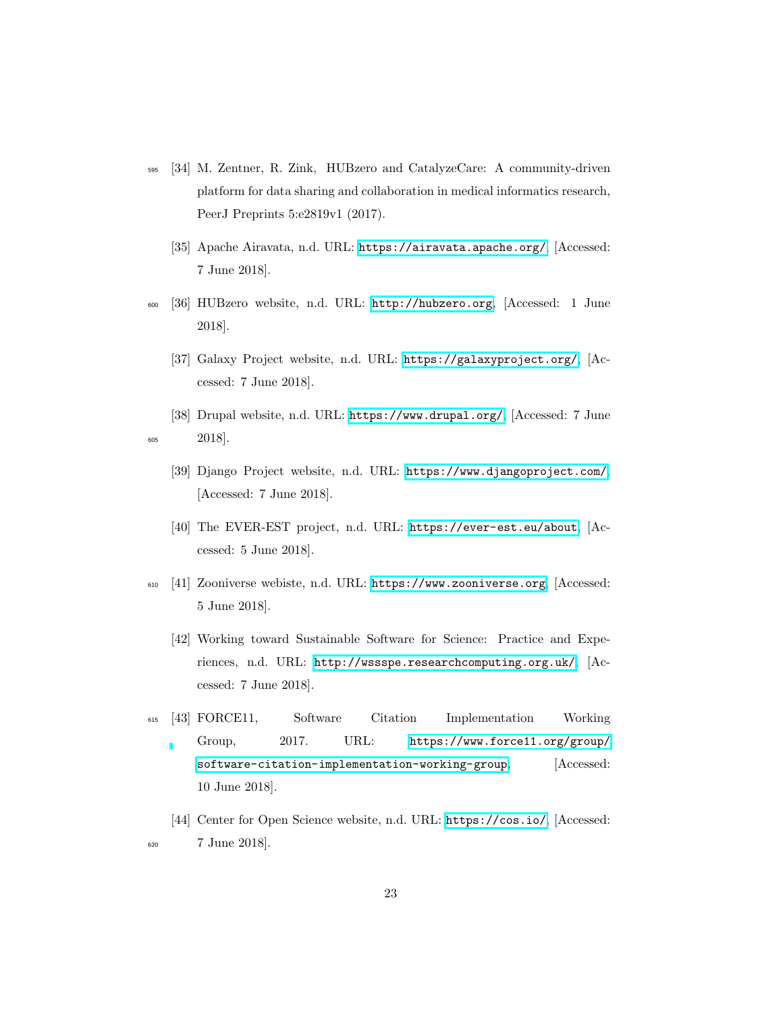- <sup>595</sup> [34] M. Zentner, R. Zink, HUBzero and CatalyzeCare: A community-driven platform for data sharing and collaboration in medical informatics research, PeerJ Preprints 5:e2819v1 (2017).
	- [35] Apache Airavata, n.d. URL: <https://airavata.apache.org/>, [Accessed: 7 June 2018].
- <sup>600</sup> [36] HUBzero website, n.d. URL: <http://hubzero.org>, [Accessed: 1 June 2018].
	- [37] Galaxy Project website, n.d. URL: <https://galaxyproject.org/>, [Accessed: 7 June 2018].
- [38] Drupal website, n.d. URL: <https://www.drupal.org/>, [Accessed: 7 June <sup>605</sup> 2018].
	- [39] Django Project website, n.d. URL: <https://www.djangoproject.com/>, [Accessed: 7 June 2018].
	- [40] The EVER-EST project, n.d. URL: <https://ever-est.eu/about>, [Accessed: 5 June 2018].
- <sup>610</sup> [41] Zooniverse webiste, n.d. URL: <https://www.zooniverse.org>, [Accessed: 5 June 2018].
	- [42] Working toward Sustainable Software for Science: Practice and Experiences, n.d. URL: <http://wssspe.researchcomputing.org.uk/>, [Accessed: 7 June 2018].
- <sup>615</sup> [43] FORCE11, Software Citation Implementation Working Group, 2017. URL: [https://www.force11.org/group/](https://www.force11.org/group/software-citation-implementation-working-group) [software-citation-implementation-working-group](https://www.force11.org/group/software-citation-implementation-working-group), [Accessed: 10 June 2018].
- [44] Center for Open Science website, n.d. URL: <https://cos.io/>, [Accessed: <sup>620</sup> 7 June 2018].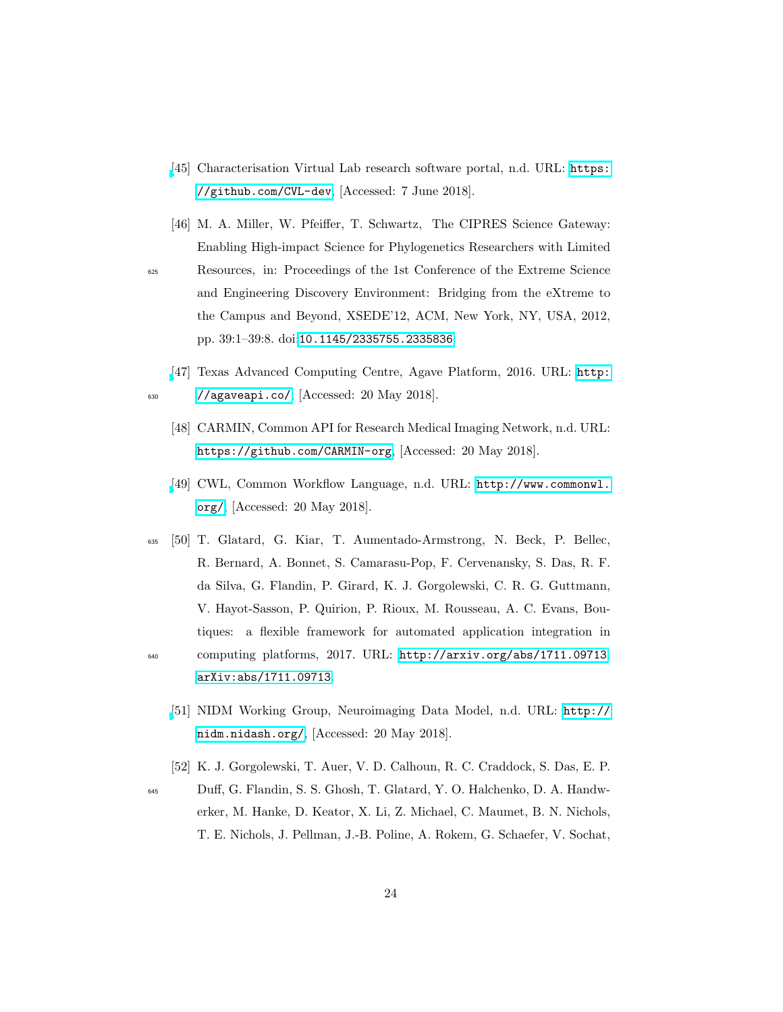- [\[](https://github.com/CVL-dev)45] Characterisation Virtual Lab research software portal, n.d. URL: [https:](https://github.com/CVL-dev) [//github.com/CVL-dev](https://github.com/CVL-dev), [Accessed: 7 June 2018].
- [46] M. A. Miller, W. Pfeiffer, T. Schwartz, The CIPRES Science Gateway: Enabling High-impact Science for Phylogenetics Researchers with Limited

<sup>625</sup> Resources, in: Proceedings of the 1st Conference of the Extreme Science and Engineering Discovery Environment: Bridging from the eXtreme to the Campus and Beyond, XSEDE'12, ACM, New York, NY, USA, 2012, pp. 39:1–39:8. doi:[10.1145/2335755.2335836](http://dx.doi.org/10.1145/2335755.2335836).

- [\[](http://agaveapi.co/)47] Texas Advanced Computing Centre, Agave Platform, 2016. URL: [http:](http://agaveapi.co/)  $_{630}$  [//agaveapi.co/](http://agaveapi.co/),  $[Accessed: 20 May 2018]$ .
	- [48] CARMIN, Common API for Research Medical Imaging Network, n.d. URL: <https://github.com/CARMIN-org>, [Accessed: 20 May 2018].
	- [\[](http://www.commonwl.org/)49] CWL, Common Workflow Language, n.d. URL: [http://www.commonwl.](http://www.commonwl.org/) [org/](http://www.commonwl.org/), [Accessed: 20 May 2018].
- <sup>635</sup> [50] T. Glatard, G. Kiar, T. Aumentado-Armstrong, N. Beck, P. Bellec, R. Bernard, A. Bonnet, S. Camarasu-Pop, F. Cervenansky, S. Das, R. F. da Silva, G. Flandin, P. Girard, K. J. Gorgolewski, C. R. G. Guttmann, V. Hayot-Sasson, P. Quirion, P. Rioux, M. Rousseau, A. C. Evans, Boutiques: a flexible framework for automated application integration in <sup>640</sup> computing platforms, 2017. URL: <http://arxiv.org/abs/1711.09713>.

[arXiv:abs/1711.09713](http://arxiv.org/abs/abs/1711.09713).

- [\[](http://nidm.nidash.org/)51] NIDM Working Group, Neuroimaging Data Model, n.d. URL: [http://](http://nidm.nidash.org/) [nidm.nidash.org/](http://nidm.nidash.org/), [Accessed: 20 May 2018].
- [52] K. J. Gorgolewski, T. Auer, V. D. Calhoun, R. C. Craddock, S. Das, E. P.
- <sup>645</sup> Du↵, G. Flandin, S. S. Ghosh, T. Glatard, Y. O. Halchenko, D. A. Handwerker, M. Hanke, D. Keator, X. Li, Z. Michael, C. Maumet, B. N. Nichols, T. E. Nichols, J. Pellman, J.-B. Poline, A. Rokem, G. Schaefer, V. Sochat,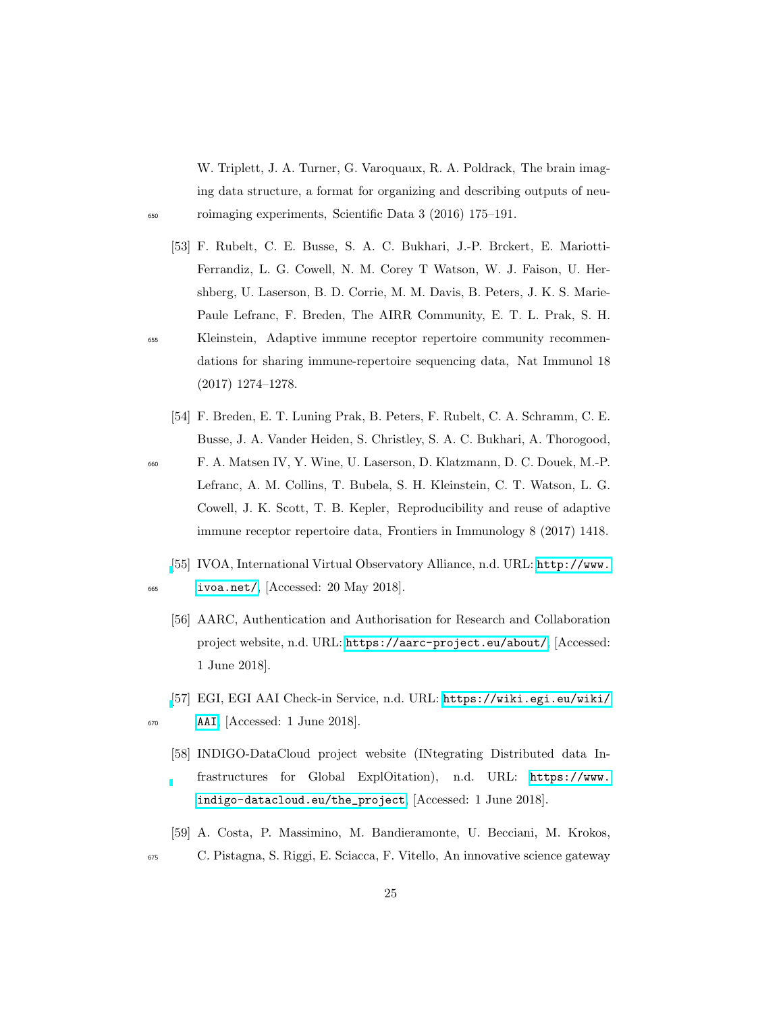W. Triplett, J. A. Turner, G. Varoquaux, R. A. Poldrack, The brain imaging data structure, a format for organizing and describing outputs of neu-<sup>650</sup> roimaging experiments, Scientific Data 3 (2016) 175–191.

- [53] F. Rubelt, C. E. Busse, S. A. C. Bukhari, J.-P. Brckert, E. Mariotti-Ferrandiz, L. G. Cowell, N. M. Corey T Watson, W. J. Faison, U. Hershberg, U. Laserson, B. D. Corrie, M. M. Davis, B. Peters, J. K. S. Marie-Paule Lefranc, F. Breden, The AIRR Community, E. T. L. Prak, S. H. <sup>655</sup> Kleinstein, Adaptive immune receptor repertoire community recommendations for sharing immune-repertoire sequencing data, Nat Immunol 18 (2017) 1274–1278.
	- [54] F. Breden, E. T. Luning Prak, B. Peters, F. Rubelt, C. A. Schramm, C. E. Busse, J. A. Vander Heiden, S. Christley, S. A. C. Bukhari, A. Thorogood,
- <sup>660</sup> F. A. Matsen IV, Y. Wine, U. Laserson, D. Klatzmann, D. C. Douek, M.-P. Lefranc, A. M. Collins, T. Bubela, S. H. Kleinstein, C. T. Watson, L. G. Cowell, J. K. Scott, T. B. Kepler, Reproducibility and reuse of adaptive immune receptor repertoire data, Frontiers in Immunology 8 (2017) 1418.
- [\[](http://www.ivoa.net/)55] IVOA, International Virtual Observatory Alliance, n.d. URL: [http://www.](http://www.ivoa.net/) <sup>665</sup> [ivoa.net/](http://www.ivoa.net/), [Accessed: 20 May 2018].
	- [56] AARC, Authentication and Authorisation for Research and Collaboration project website, n.d. URL: <https://aarc-project.eu/about/>, [Accessed: 1 June 2018].
- [\[](https://wiki.egi.eu/wiki/AAI)57] EGI, EGI AAI Check-in Service, n.d. URL: [https://wiki.egi.eu/wiki/](https://wiki.egi.eu/wiki/AAI)  $\overline{\text{AAI}}$  $\overline{\text{AAI}}$  $\overline{\text{AAI}}$ ,  $\overline{\text{Accessed}}$ : 1 June 2018.

- [58] INDIGO-DataCloud project website (INtegrating Distributed data Infrastructures for Global ExplOitation), n.d. URL: [https://www.](https://www.indigo-datacloud.eu/the_project) [indigo-datacloud.eu/the\\_project](https://www.indigo-datacloud.eu/the_project), [Accessed: 1 June 2018].
- [59] A. Costa, P. Massimino, M. Bandieramonte, U. Becciani, M. Krokos, <sup>675</sup> C. Pistagna, S. Riggi, E. Sciacca, F. Vitello, An innovative science gateway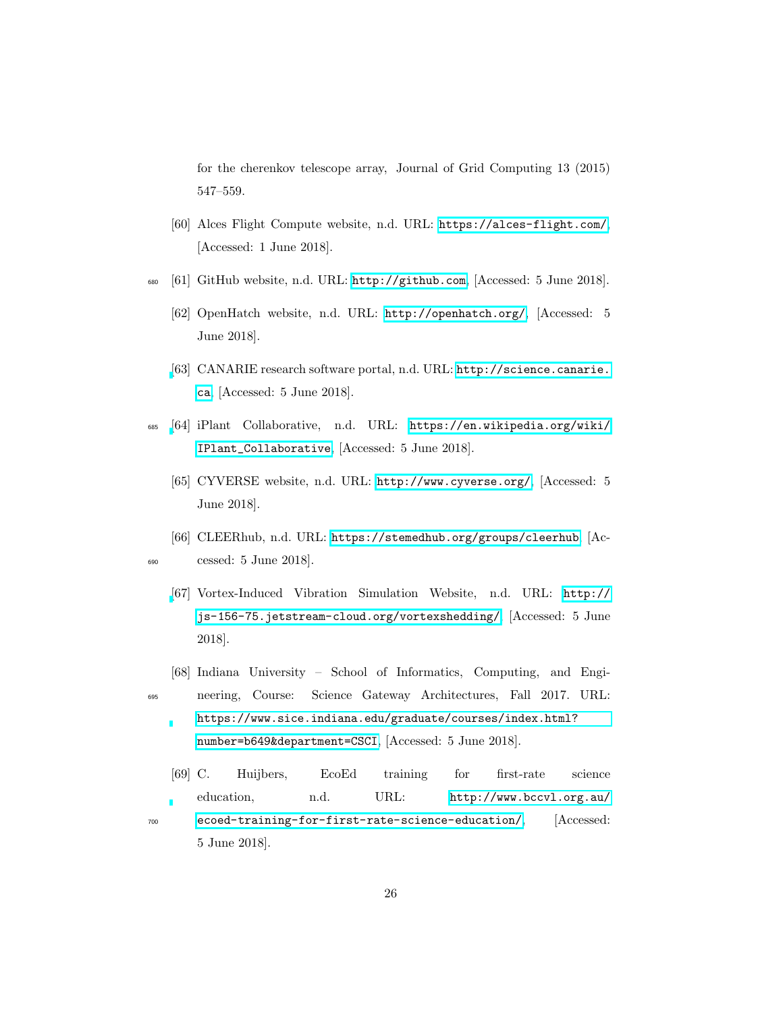for the cherenkov telescope array, Journal of Grid Computing 13 (2015) 547–559.

- [60] Alces Flight Compute website, n.d. URL: <https://alces-flight.com/>, [Accessed: 1 June 2018].
- <sup>680</sup> [61] GitHub website, n.d. URL: <http://github.com>, [Accessed: 5 June 2018].
	- [62] OpenHatch website, n.d. URL: <http://openhatch.org/>, [Accessed: 5 June 2018].
	- [\[](http://science.canarie.ca)63] CANARIE research software portal, n.d. URL: [http://science.canarie.](http://science.canarie.ca) [ca](http://science.canarie.ca), [Accessed: 5 June 2018].
- <sup>685</sup> [\[](https://en.wikipedia.org/wiki/IPlant_Collaborative)64] iPlant Collaborative, n.d. URL: [https://en.wikipedia.org/wiki/](https://en.wikipedia.org/wiki/IPlant_Collaborative) [IPlant\\_Collaborative](https://en.wikipedia.org/wiki/IPlant_Collaborative), [Accessed: 5 June 2018].
	- [65] CYVERSE website, n.d. URL: <http://www.cyverse.org/>, [Accessed: 5 June 2018].
- [66] CLEERhub, n.d. URL: <https://stemedhub.org/groups/cleerhub>, [Ac-<sup>690</sup> cessed: 5 June 2018].
	- [\[](http://js-156-75.jetstream-cloud.org/vortexshedding/)67] Vortex-Induced Vibration Simulation Website, n.d. URL: [http://](http://js-156-75.jetstream-cloud.org/vortexshedding/) [js-156-75.jetstream-cloud.org/vortexshedding/](http://js-156-75.jetstream-cloud.org/vortexshedding/), [Accessed: 5 June 2018].
- [68] Indiana University School of Informatics, Computing, and Engi-<sup>695</sup> neering, Course: Science Gateway Architectures, Fall 2017. URL:
	- [https://www.sice.indiana.edu/graduate/courses/index.html?](https://www.sice.indiana.edu/graduate/courses/index.html?number=b649&department=CSCI) [number=b649&department=CSCI](https://www.sice.indiana.edu/graduate/courses/index.html?number=b649&department=CSCI), [Accessed: 5 June 2018].
- [69] C. Huijbers, EcoEd training for first-rate science education, n.d. URL: [http://www.bccvl.org.au/](http://www.bccvl.org.au/ecoed-training-for-first-rate-science-education/) <sup>700</sup> [ecoed-training-for-first-rate-science-education/](http://www.bccvl.org.au/ecoed-training-for-first-rate-science-education/), [Accessed: 5 June 2018].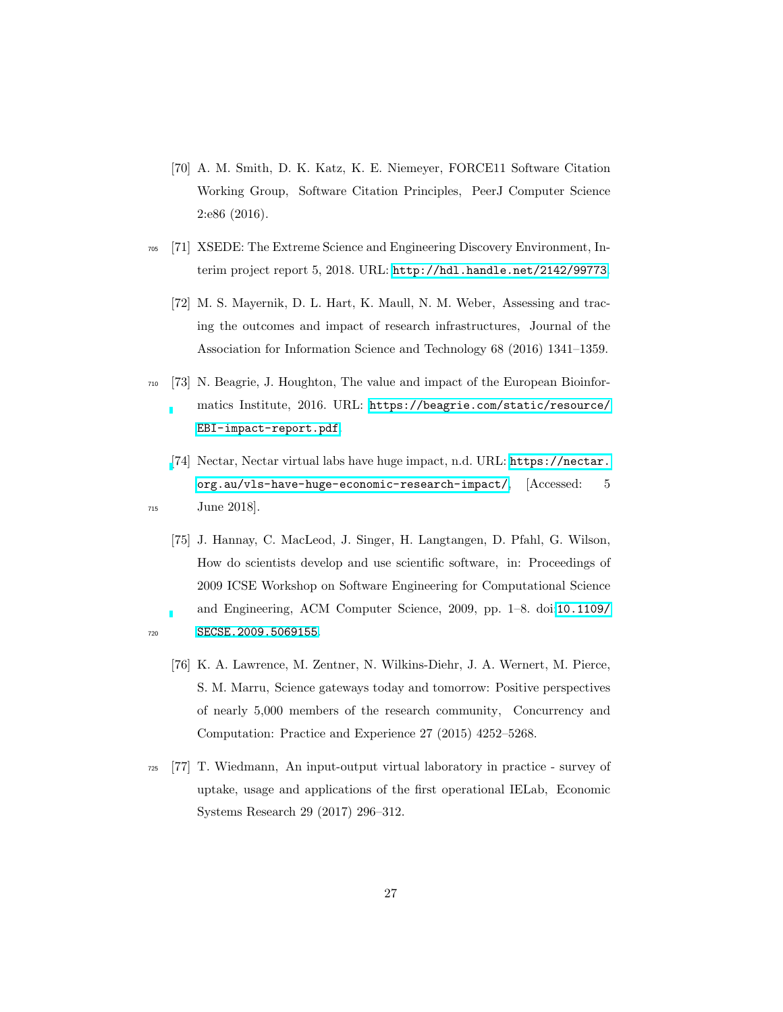- [70] A. M. Smith, D. K. Katz, K. E. Niemeyer, FORCE11 Software Citation Working Group, Software Citation Principles, PeerJ Computer Science 2:e86 (2016).
- <sup>705</sup> [71] XSEDE: The Extreme Science and Engineering Discovery Environment, Interim project report 5, 2018. URL: <http://hdl.handle.net/2142/99773>.
	- [72] M. S. Mayernik, D. L. Hart, K. Maull, N. M. Weber, Assessing and tracing the outcomes and impact of research infrastructures, Journal of the Association for Information Science and Technology 68 (2016) 1341–1359.
- <sup>710</sup> [73] N. Beagrie, J. Houghton, The value and impact of the European Bioinfor
	- matics Institute, 2016. URL: [https://beagrie.com/static/resource/](https://beagrie.com/static/resource/EBI-impact-report.pdf) [EBI-impact-report.pdf](https://beagrie.com/static/resource/EBI-impact-report.pdf).
- [\[](https://nectar.org.au/vls-have-huge-economic-research-impact/)74] Nectar, Nectar virtual labs have huge impact, n.d. URL: [https://nectar.](https://nectar.org.au/vls-have-huge-economic-research-impact/) [org.au/vls-have-huge-economic-research-impact/](https://nectar.org.au/vls-have-huge-economic-research-impact/), [Accessed: 5 <sup>715</sup> June 2018].
- [75] J. Hannay, C. MacLeod, J. Singer, H. Langtangen, D. Pfahl, G. Wilson, How do scientists develop and use scientific software, in: Proceedings of 2009 ICSE Workshop on Software Engineering for Computational Science and Engineering, ACM Computer Science, 2009, pp. 1–8. doi:[10.1109/](http://dx.doi.org/10.1109/SECSE.2009.5069155) 720 **SECSE. 2009. 5069155.**

- [76] K. A. Lawrence, M. Zentner, N. Wilkins-Diehr, J. A. Wernert, M. Pierce, S. M. Marru, Science gateways today and tomorrow: Positive perspectives of nearly 5,000 members of the research community, Concurrency and Computation: Practice and Experience 27 (2015) 4252–5268.
- <sup>725</sup> [77] T. Wiedmann, An input-output virtual laboratory in practice survey of uptake, usage and applications of the first operational IELab, Economic Systems Research 29 (2017) 296–312.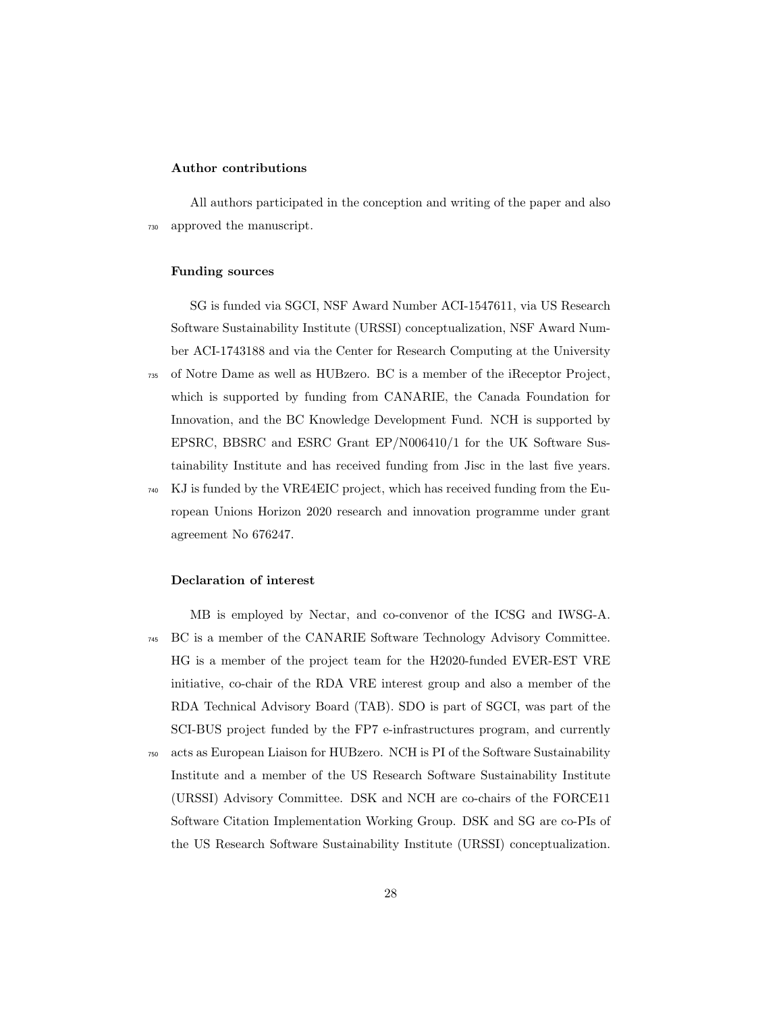### Author contributions

All authors participated in the conception and writing of the paper and also <sup>730</sup> approved the manuscript.

### Funding sources

SG is funded via SGCI, NSF Award Number ACI-1547611, via US Research Software Sustainability Institute (URSSI) conceptualization, NSF Award Number ACI-1743188 and via the Center for Research Computing at the University <sup>735</sup> of Notre Dame as well as HUBzero. BC is a member of the iReceptor Project, which is supported by funding from CANARIE, the Canada Foundation for Innovation, and the BC Knowledge Development Fund. NCH is supported by EPSRC, BBSRC and ESRC Grant EP/N006410/1 for the UK Software Sustainability Institute and has received funding from Jisc in the last five years. <sup>740</sup> KJ is funded by the VRE4EIC project, which has received funding from the European Unions Horizon 2020 research and innovation programme under grant

#### Declaration of interest

agreement No 676247.

MB is employed by Nectar, and co-convenor of the ICSG and IWSG-A. <sup>745</sup> BC is a member of the CANARIE Software Technology Advisory Committee. HG is a member of the project team for the H2020-funded EVER-EST VRE initiative, co-chair of the RDA VRE interest group and also a member of the RDA Technical Advisory Board (TAB). SDO is part of SGCI, was part of the SCI-BUS project funded by the FP7 e-infrastructures program, and currently <sup>750</sup> acts as European Liaison for HUBzero. NCH is PI of the Software Sustainability Institute and a member of the US Research Software Sustainability Institute (URSSI) Advisory Committee. DSK and NCH are co-chairs of the FORCE11 Software Citation Implementation Working Group. DSK and SG are co-PIs of the US Research Software Sustainability Institute (URSSI) conceptualization.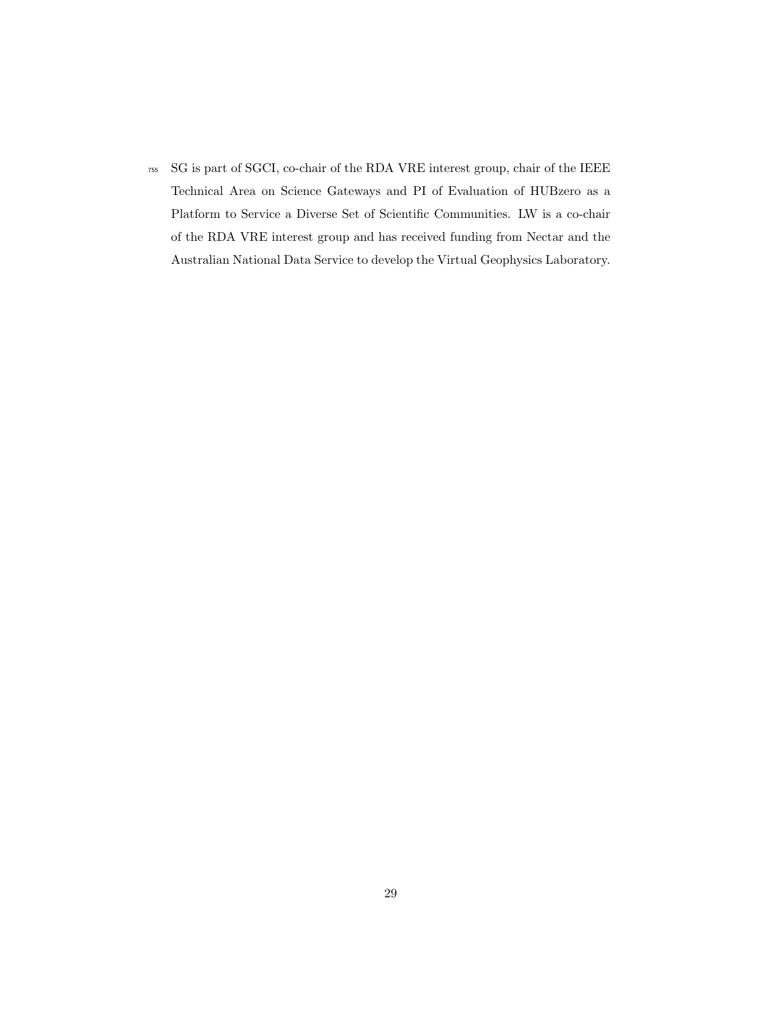<sup>755</sup> SG is part of SGCI, co-chair of the RDA VRE interest group, chair of the IEEE Technical Area on Science Gateways and PI of Evaluation of HUBzero as a Platform to Service a Diverse Set of Scientific Communities. LW is a co-chair of the RDA VRE interest group and has received funding from Nectar and the Australian National Data Service to develop the Virtual Geophysics Laboratory.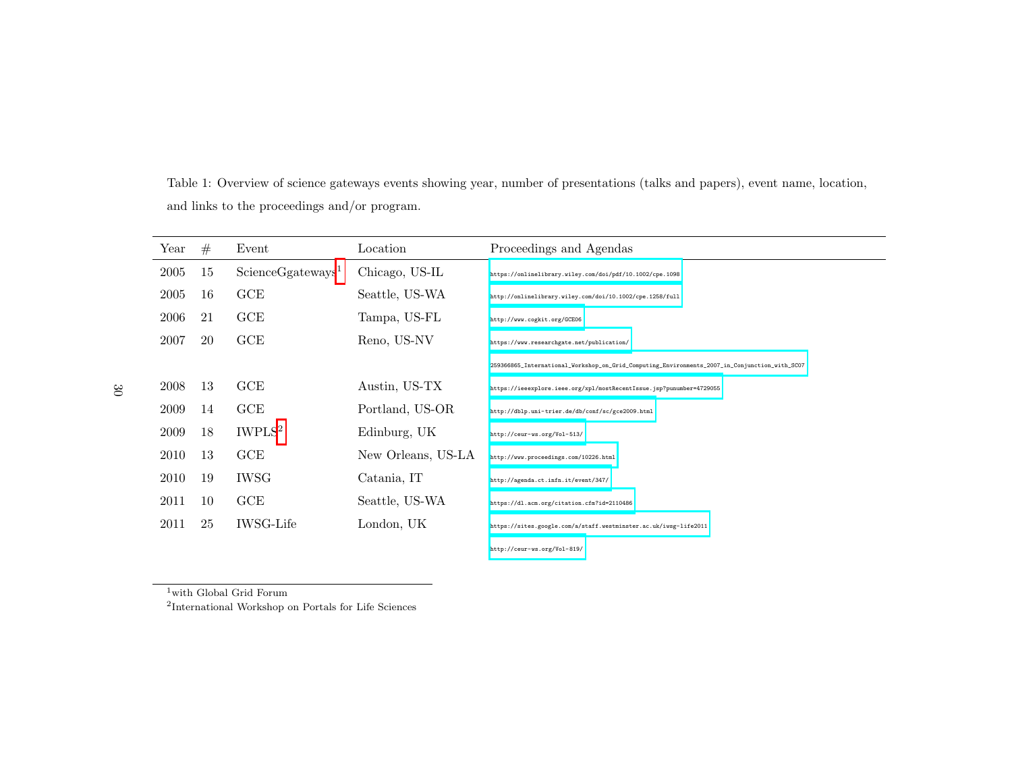Table 1: Overview of science gateways events showing year, number of presentations (talks and papers), event name, location, and links to the proceedings and/or program.

| Year | #  | Event                         | Location           | Proceedings and Agendas                                                                       |
|------|----|-------------------------------|--------------------|-----------------------------------------------------------------------------------------------|
| 2005 | 15 | ScienceGgateways <sup>1</sup> | Chicago, US-IL     | https://onlinelibrary.wiley.com/doi/pdf/10.1002/cpe.1098                                      |
| 2005 | 16 | GCE                           | Seattle, US-WA     | http://onlinelibrary.wiley.com/doi/10.1002/cpe.1258/full                                      |
| 2006 | 21 | GCE                           | Tampa, US-FL       | http://www.cogkit.org/GCE06                                                                   |
| 2007 | 20 | GCE                           | Reno, US-NV        | https://www.researchgate.net/publication/                                                     |
|      |    |                               |                    | 259366865_International_Workshop_on_Grid_Computing_Environments_2007_in_Conjunction_with_SC07 |
| 2008 | 13 | GCE                           | Austin, US-TX      | https://ieeexplore.ieee.org/xpl/mostRecentIssue.jsp?punumber=4729055                          |
| 2009 | 14 | GCE                           | Portland, US-OR    | http://dblp.uni-trier.de/db/conf/sc/gce2009.html                                              |
| 2009 | 18 | IWPLS <sup>2</sup>            | Edinburg, UK       | http://ceur-ws.org/Vol-513/                                                                   |
| 2010 | 13 | GCE                           | New Orleans, US-LA | http://www.proceedings.com/10226.html                                                         |
| 2010 | 19 | <b>IWSG</b>                   | Catania, IT        | http://agenda.ct.infn.it/event/347/                                                           |
| 2011 | 10 | GCE                           | Seattle, US-WA     | https://dl.acm.org/citation.cfm?id=2110486                                                    |
| 2011 | 25 | <b>IWSG-Life</b>              | London, UK         | https://sites.google.com/a/staff.westminster.ac.uk/iwsg-life2011                              |
|      |    |                               |                    | http://ceur-ws.org/Vol-819/                                                                   |

with Global Grid Forum

International Workshop on Portals for Life Sciences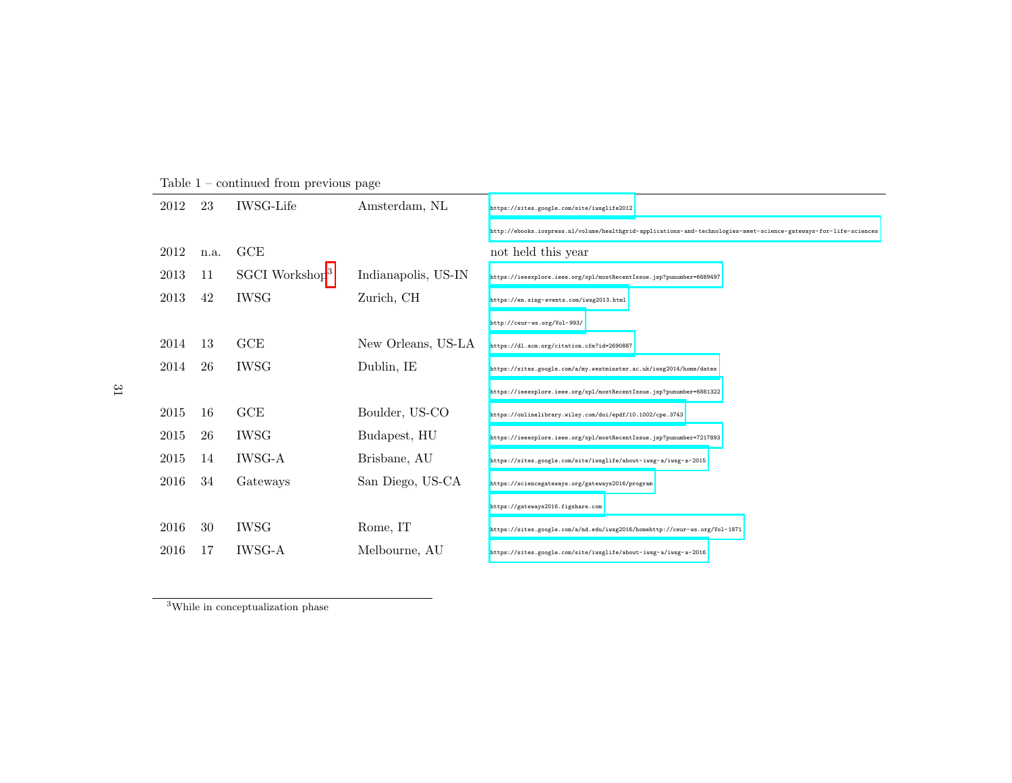| 2012 | 23   | <b>IWSG-Life</b>           | Amsterdam, NL       | https://sites.google.com/site/iwsglife2012                                                                        |
|------|------|----------------------------|---------------------|-------------------------------------------------------------------------------------------------------------------|
|      |      |                            |                     | http://ebooks.iospress.nl/volume/healthgrid-applications-and-technologies-meet-science-gateways-for-life-sciences |
| 2012 | n.a. | GCE                        |                     | not held this year                                                                                                |
| 2013 | 11   | SGCI Workshop <sup>3</sup> | Indianapolis, US-IN | https://ieeexplore.ieee.org/xpl/mostRecentIssue.jsp?punumber=6689497                                              |
| 2013 | 42   | <b>IWSG</b>                | Zurich, CH          | https://en.xing-events.com/iwsg2013.html                                                                          |
|      |      |                            |                     | http://ceur-ws.org/Vol-993/                                                                                       |
| 2014 | 13   | GCE                        | New Orleans, US-LA  | https://dl.acm.org/citation.cfm?id=2690887                                                                        |
| 2014 | 26   | <b>IWSG</b>                | Dublin, IE          | https://sites.google.com/a/my.westminster.ac.uk/iwsg2014/home/dates                                               |
|      |      |                            |                     | https://ieeexplore.ieee.org/xpl/mostRecentIssue.jsp?punumber=6881322                                              |
| 2015 | 16   | GCE                        | Boulder, US-CO      | https://onlinelibrary.wiley.com/doi/epdf/10.1002/cpe.3743                                                         |
| 2015 | 26   | <b>IWSG</b>                | Budapest, HU        | https://ieeexplore.ieee.org/xpl/mostRecentIssue.jsp?punumber=7217893                                              |
| 2015 | 14   | <b>IWSG-A</b>              | Brisbane, AU        | https://sites.google.com/site/iwsglife/about-iwsg-a/iwsg-a-2015                                                   |
| 2016 | 34   | Gateways                   | San Diego, US-CA    | https://sciencegateways.org/gateways2016/program                                                                  |
|      |      |                            |                     | https://gateways2016.figshare.com                                                                                 |
| 2016 | 30   | <b>IWSG</b>                | Rome, IT            | https://sites.google.com/a/nd.edu/iwsg2016/homehttp://ceur-ws.org/Vol-1871                                        |
| 2016 | 17   | <b>IWSG-A</b>              | Melbourne, AU       | https://sites.google.com/site/iwsglife/about-iwsg-a/iwsg-a-2016                                                   |

Table 1 – continued from previous page

While in conceptualization <sup>p</sup>hase

 $31\,$